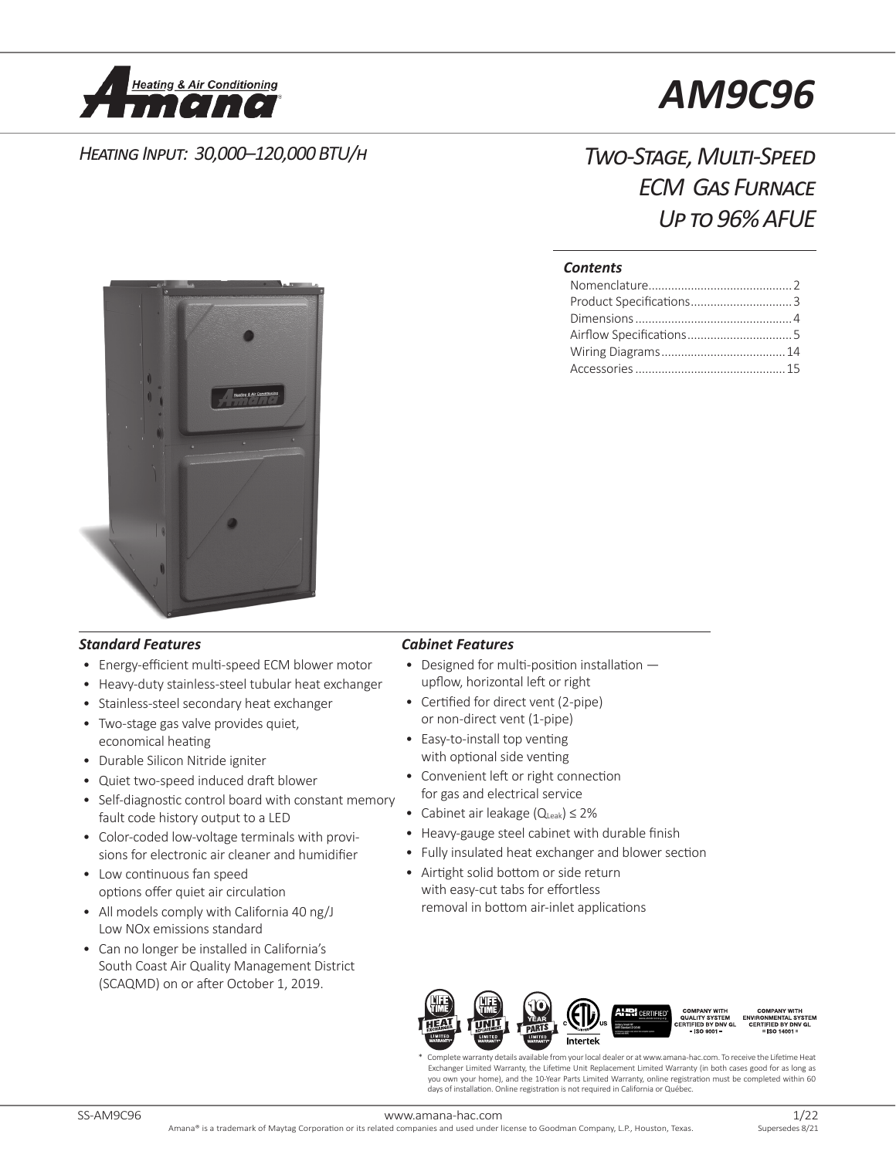

# *AM9C96*

### *Heating Input: 30,000–120,000 BTU/h*

## *Two-Stage, Multi-Speed ECM Gas Furnace Up to 96% AFUE*

#### *Contents*



#### *Standard Features Cabinet Features*

- Energy-efficient multi-speed ECM blower motor
- Heavy-duty stainless-steel tubular heat exchanger
- Stainless-steel secondary heat exchanger
- Two-stage gas valve provides quiet, economical heating
- Durable Silicon Nitride igniter
- Quiet two-speed induced draft blower
- Self-diagnostic control board with constant memory fault code history output to a LED
- Color-coded low-voltage terminals with provisions for electronic air cleaner and humidifier
- Low continuous fan speed options offer quiet air circulation
- All models comply with California 40 ng/J Low NOx emissions standard
- Can no longer be installed in California's South Coast Air Quality Management District (SCAQMD) on or after October 1, 2019.

- Designed for multi-position installation upflow, horizontal left or right
- Certified for direct vent (2-pipe) or non-direct vent (1-pipe)
- Easy-to-install top venting with optional side venting
- Convenient left or right connection for gas and electrical service
- Cabinet air leakage (QLeak) ≤ 2%
- Heavy-gauge steel cabinet with durable finish
- Fully insulated heat exchanger and blower section
- Airtight solid bottom or side return with easy-cut tabs for effortless removal in bottom air-inlet applications



Complete warranty details available from your local dealer or at www.amana-hac.com. To receive the Lifetime Heat Exchanger Limited Warranty, the Lifetime Unit Replacement Limited Warranty (in both cases good for as long as you own your home), and the 10-Year Parts Limited Warranty, online registration must be completed within 60 days of installation. Online registration is not required in California or Québec.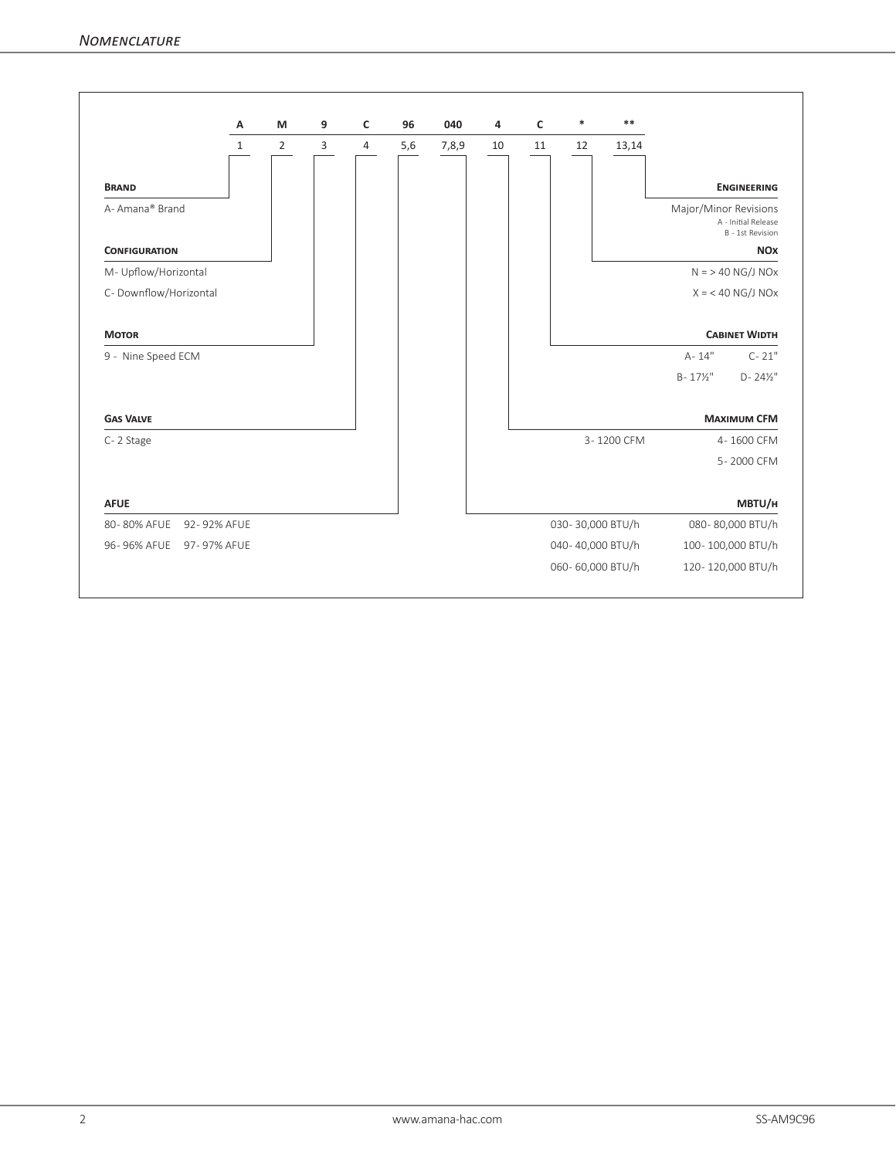|                            | A            | M              | 9              | c | 96  | 040   | 4  | c  | $\ast$           | $* *$      |                                                                  |
|----------------------------|--------------|----------------|----------------|---|-----|-------|----|----|------------------|------------|------------------------------------------------------------------|
|                            | $\mathbf{1}$ | $\overline{2}$ | $\overline{3}$ | 4 | 5,6 | 7,8,9 | 10 | 11 | 12               | 13,14      |                                                                  |
| <b>BRAND</b>               |              |                |                |   |     |       |    |    |                  |            | <b>ENGINEERING</b>                                               |
| A-Amana® Brand             |              |                |                |   |     |       |    |    |                  |            | Major/Minor Revisions<br>A - Initial Release<br>B - 1st Revision |
| <b>CONFIGURATION</b>       |              |                |                |   |     |       |    |    |                  |            | <b>NOX</b>                                                       |
| M- Upflow/Horizontal       |              |                |                |   |     |       |    |    |                  |            | $N = 540$ NG/J NOx                                               |
| C- Downflow/Horizontal     |              |                |                |   |     |       |    |    |                  |            | $X = 40$ NG/J NOx                                                |
| <b>MOTOR</b>               |              |                |                |   |     |       |    |    |                  |            | <b>CABINET WIDTH</b>                                             |
| 9 - Nine Speed ECM         |              |                |                |   |     |       |    |    |                  |            | $A - 14"$<br>$C - 21"$                                           |
|                            |              |                |                |   |     |       |    |    |                  |            | $D - 24\frac{1}{2}$<br>$B - 17\frac{1}{2}$                       |
| <b>GAS VALVE</b>           |              |                |                |   |     |       |    |    |                  |            | <b>MAXIMUM CFM</b>                                               |
| C-2 Stage                  |              |                |                |   |     |       |    |    |                  | 3-1200 CFM | 4-1600 CFM                                                       |
|                            |              |                |                |   |     |       |    |    |                  |            | 5-2000 CFM                                                       |
| <b>AFUE</b>                |              |                |                |   |     |       |    |    |                  |            | MBTU/H                                                           |
| 80-80% AFUE<br>92-92% AFUE |              |                |                |   |     |       |    |    | 030-30,000 BTU/h |            | 080-80,000 BTU/h                                                 |
| 96-96% AFUE<br>97-97% AFUE |              |                |                |   |     |       |    |    | 040-40,000 BTU/h |            | 100-100,000 BTU/h                                                |
|                            |              |                |                |   |     |       |    |    |                  |            |                                                                  |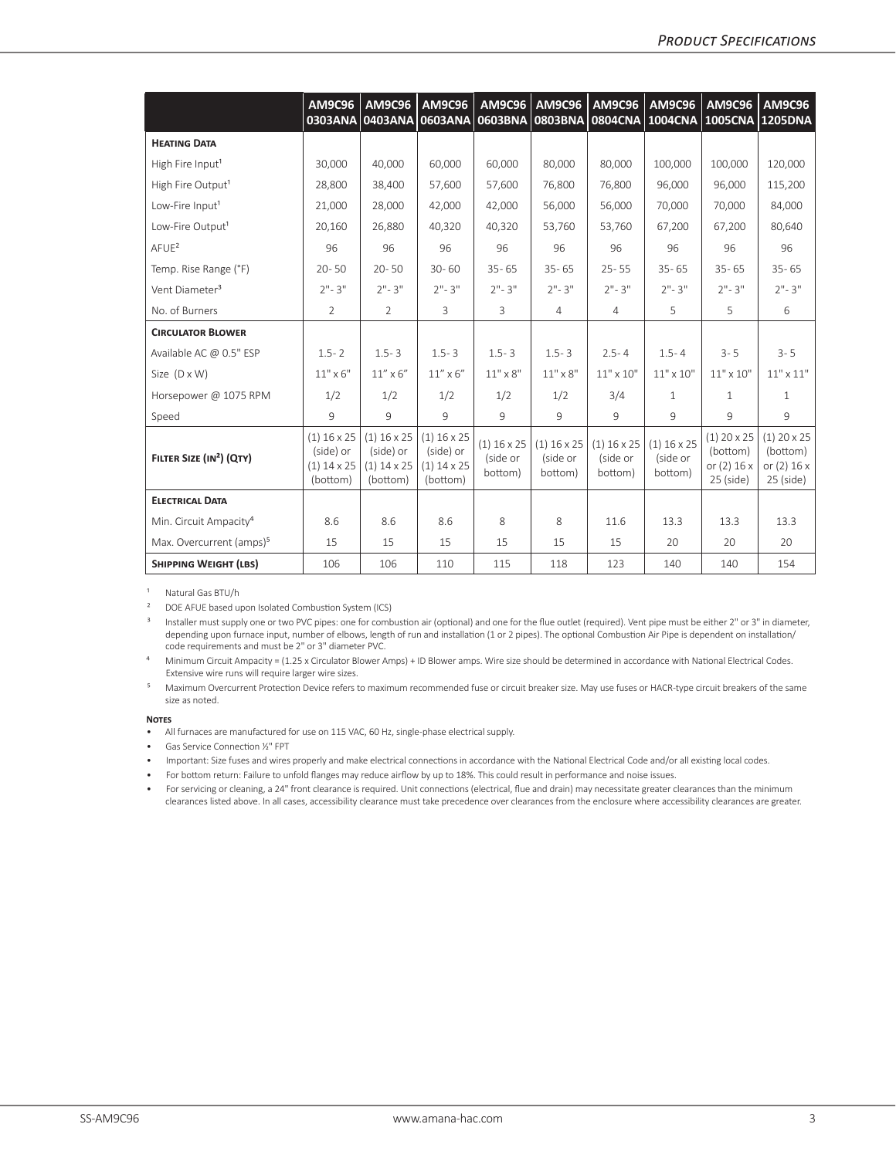|                                      | AM9C96<br>0303ANA                                       | <b>AM9C96</b>                                           | <b>AM9C96</b><br>0403ANA 0603ANA 0603BNA                | AM9C96                               | <b>AM9C96</b><br><b>0803BNA</b>      | <b>AM9C96</b>                        | <b>AM9C96</b>                        | <b>AM9C96</b><br>0804CNA 1004CNA 1005CNA 1205DNA               | <b>AM9C96</b>                                           |
|--------------------------------------|---------------------------------------------------------|---------------------------------------------------------|---------------------------------------------------------|--------------------------------------|--------------------------------------|--------------------------------------|--------------------------------------|----------------------------------------------------------------|---------------------------------------------------------|
| <b>HEATING DATA</b>                  |                                                         |                                                         |                                                         |                                      |                                      |                                      |                                      |                                                                |                                                         |
| High Fire Input <sup>1</sup>         | 30,000                                                  | 40,000                                                  | 60,000                                                  | 60,000                               | 80,000                               | 80,000                               | 100,000                              | 100,000                                                        | 120,000                                                 |
| High Fire Output <sup>1</sup>        | 28,800                                                  | 38,400                                                  | 57,600                                                  | 57,600                               | 76.800                               | 76.800                               | 96.000                               | 96,000                                                         | 115,200                                                 |
| Low-Fire Input <sup>1</sup>          | 21,000                                                  | 28,000                                                  | 42,000                                                  | 42,000                               | 56,000                               | 56,000                               | 70,000                               | 70,000                                                         | 84,000                                                  |
| Low-Fire Output <sup>1</sup>         | 20,160                                                  | 26,880                                                  | 40,320                                                  | 40,320                               | 53,760                               | 53,760                               | 67,200                               | 67,200                                                         | 80,640                                                  |
| AFUE <sup>2</sup>                    | 96                                                      | 96                                                      | 96                                                      | 96                                   | 96                                   | 96                                   | 96                                   | 96                                                             | 96                                                      |
| Temp. Rise Range (°F)                | $20 - 50$                                               | $20 - 50$                                               | $30 - 60$                                               | $35 - 65$                            | $35 - 65$                            | $25 - 55$                            | $35 - 65$                            | $35 - 65$                                                      | $35 - 65$                                               |
| Vent Diameter <sup>3</sup>           | $2" - 3"$                                               | $2" - 3"$                                               | $2" - 3"$                                               | $2" - 3"$                            | $2" - 3"$                            | $2" - 3"$                            | $2" - 3"$                            | $2" - 3"$                                                      | $2" - 3"$                                               |
| No. of Burners                       | 2                                                       | $\overline{2}$                                          | 3                                                       | 3                                    | $\overline{4}$                       | 4                                    | 5                                    | 5                                                              | 6                                                       |
| <b>CIRCULATOR BLOWER</b>             |                                                         |                                                         |                                                         |                                      |                                      |                                      |                                      |                                                                |                                                         |
| Available AC @ 0.5" ESP              | $1.5 - 2$                                               | $1.5 - 3$                                               | $1.5 - 3$                                               | $1.5 - 3$                            | $1.5 - 3$                            | $2.5 - 4$                            | $1.5 - 4$                            | $3 - 5$                                                        | $3 - 5$                                                 |
| Size $(D \times W)$                  | $11" \times 6"$                                         | $11''$ x 6"                                             | $11''$ x $6''$                                          | $11" \times 8"$                      | $11" \times 8"$                      | $11" \times 10"$                     | $11" \times 10"$                     | $11" \times 10"$                                               | $11" \times 11"$                                        |
| Horsepower @ 1075 RPM                | 1/2                                                     | 1/2                                                     | 1/2                                                     | 1/2                                  | 1/2                                  | 3/4                                  | $\mathbf{1}$                         | $\mathbf{1}$                                                   | $\mathbf{1}$                                            |
| Speed                                | 9                                                       | 9                                                       | 9                                                       | 9                                    | 9                                    | 9                                    | 9                                    | 9                                                              | 9                                                       |
| FILTER SIZE (IN <sup>2</sup> ) (QTY) | $(1)$ 16 x 25<br>(side) or<br>$(1)$ 14 x 25<br>(bottom) | $(1)$ 16 x 25<br>(side) or<br>$(1)$ 14 x 25<br>(bottom) | $(1)$ 16 x 25<br>(side) or<br>$(1)$ 14 x 25<br>(bottom) | $(1)$ 16 x 25<br>(side or<br>bottom) | $(1)$ 16 x 25<br>(side or<br>bottom) | $(1)$ 16 x 25<br>(side or<br>bottom) | $(1)$ 16 x 25<br>(side or<br>bottom) | $(1)$ 20 $\times$ 25<br>(bottom)<br>or (2) 16 x<br>$25$ (side) | $(1)$ 20 x 25<br>(bottom)<br>or (2) 16 x<br>$25$ (side) |
| <b>ELECTRICAL DATA</b>               |                                                         |                                                         |                                                         |                                      |                                      |                                      |                                      |                                                                |                                                         |
| Min. Circuit Ampacity <sup>4</sup>   | 8.6                                                     | 8.6                                                     | 8.6                                                     | 8                                    | 8                                    | 11.6                                 | 13.3                                 | 13.3                                                           | 13.3                                                    |
| Max. Overcurrent (amps) <sup>5</sup> | 15                                                      | 15                                                      | 15                                                      | 15                                   | 15                                   | 15                                   | 20                                   | 20                                                             | 20                                                      |
| <b>SHIPPING WEIGHT (LBS)</b>         | 106                                                     | 106                                                     | 110                                                     | 115                                  | 118                                  | 123                                  | 140                                  | 140                                                            | 154                                                     |

<sup>1</sup> Natural Gas BTU/h

<sup>2</sup> DOE AFUE based upon Isolated Combustion System (ICS)

<sup>3</sup> Installer must supply one or two PVC pipes: one for combustion air (optional) and one for the flue outlet (required). Vent pipe must be either 2" or 3" in diameter, depending upon furnace input, number of elbows, length of run and installation (1 or 2 pipes). The optional Combustion Air Pipe is dependent on installation/ code requirements and must be 2" or 3" diameter PVC.

<sup>4</sup> Minimum Circuit Ampacity = (1.25 x Circulator Blower Amps) + ID Blower amps. Wire size should be determined in accordance with National Electrical Codes. Extensive wire runs will require larger wire sizes.

Maximum Overcurrent Protection Device refers to maximum recommended fuse or circuit breaker size. May use fuses or HACR-type circuit breakers of the same size as noted.

#### **Notes**

• All furnaces are manufactured for use on 115 VAC, 60 Hz, single-phase electrical supply.

• Gas Service Connection ½" FPT

• Important: Size fuses and wires properly and make electrical connections in accordance with the National Electrical Code and/or all existing local codes.

• For bottom return: Failure to unfold flanges may reduce airflow by up to 18%. This could result in performance and noise issues.

• For servicing or cleaning, a 24" front clearance is required. Unit connections (electrical, flue and drain) may necessitate greater clearances than the minimum clearances listed above. In all cases, accessibility clearance must take precedence over clearances from the enclosure where accessibility clearances are greater.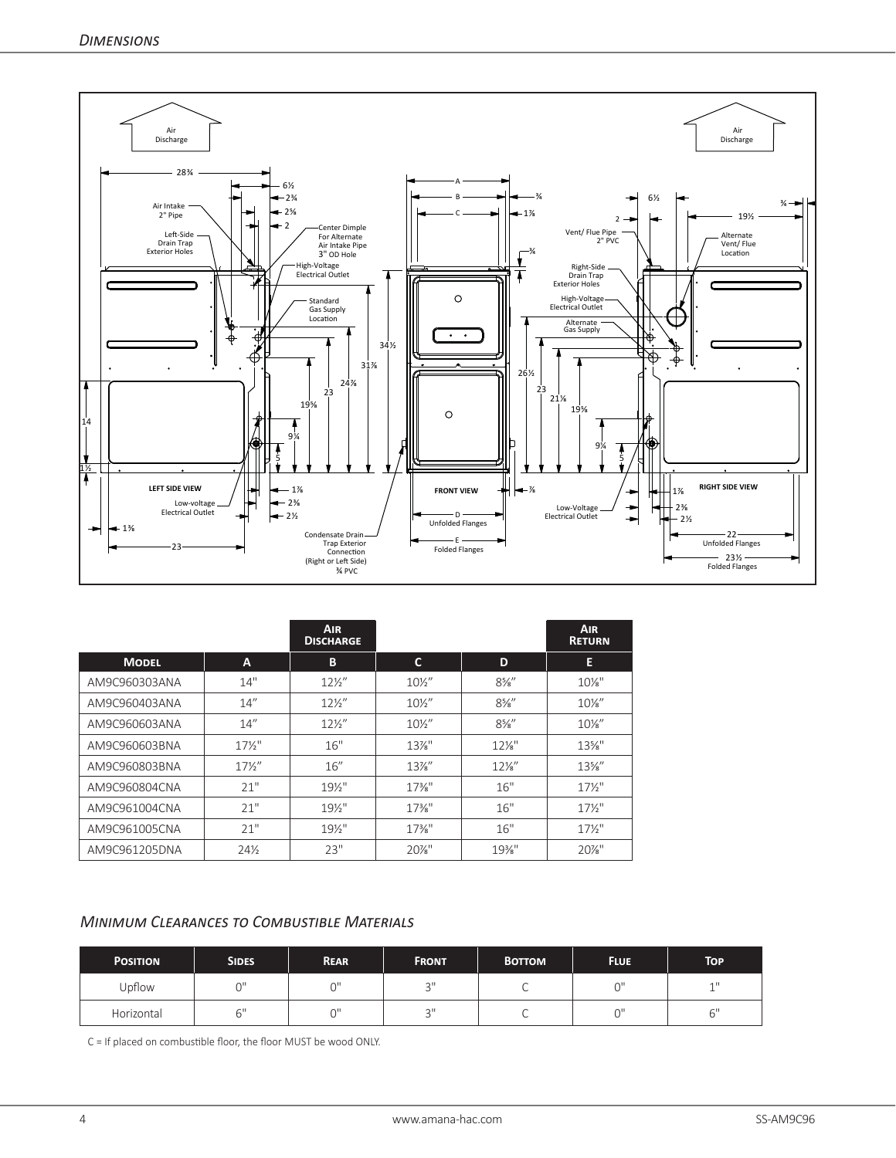

|               |                 | AIR.<br><b>DISCHARGE</b> |                   |                 | <b>AIR</b><br><b>RETURN</b> |
|---------------|-----------------|--------------------------|-------------------|-----------------|-----------------------------|
| <b>MODEL</b>  | A               | В                        | C                 | D               | E                           |
| AM9C960303ANA | 14"             | $12\frac{1}{2}$          | $10\frac{1}{2}$   | $8\frac{5}{8}$  | $10\%$ "                    |
| AM9C960403ANA | 14''            | $12\frac{1}{2}$          | $10\frac{1}{2}$   | $8\%$ "         | $10\%$ "                    |
| AM9C960603ANA | 14''            | $12\frac{1}{2}$          | $10\frac{1}{2}$   | $8\%$ "         | $10\%$ "                    |
| AM9C960603BNA | $17\frac{1}{2}$ | 16"                      | $13\%$ "          | $12\%$ "        | $13\%$ "                    |
| AM9C960803BNA | $17\frac{1}{2}$ | 16''                     | $13\%$ "          | $12\frac{1}{8}$ | $13\%$ "                    |
| AM9C960804CNA | 21"             | $19\%$ "                 | $17\frac{3}{8}$ " | 16"             | $17\frac{1}{2}$             |
| AM9C961004CNA | 21"             | $19\%$ "                 | $17\frac{3}{8}$ " | 16"             | $17\frac{1}{2}$             |
| AM9C961005CNA | 21"             | $19\%$ "                 | $17\frac{3}{8}$ " | 16"             | $17\frac{1}{2}$             |
| AM9C961205DNA | 24%             | 23"                      | $20\%$ "          | 19%"            | $20\%$ "                    |

#### *Minimum Clearances to Combustible Materials*

| <b>POSITION</b> | <b>SIDES</b> | <b>REAR</b> | <b>FRONT</b> | <b>BOTTOM</b> | <b>FLUE</b> | TOP         |
|-----------------|--------------|-------------|--------------|---------------|-------------|-------------|
| Upflow          | $\sim$       | $\sim$      | $\bigcap$    |               | $\sim$      | $-111$<br>÷ |
| Horizontal      |              | ωH          | $\bigcap$    |               | $\sim$      | 6"          |

C = If placed on combustible floor, the floor MUST be wood ONLY.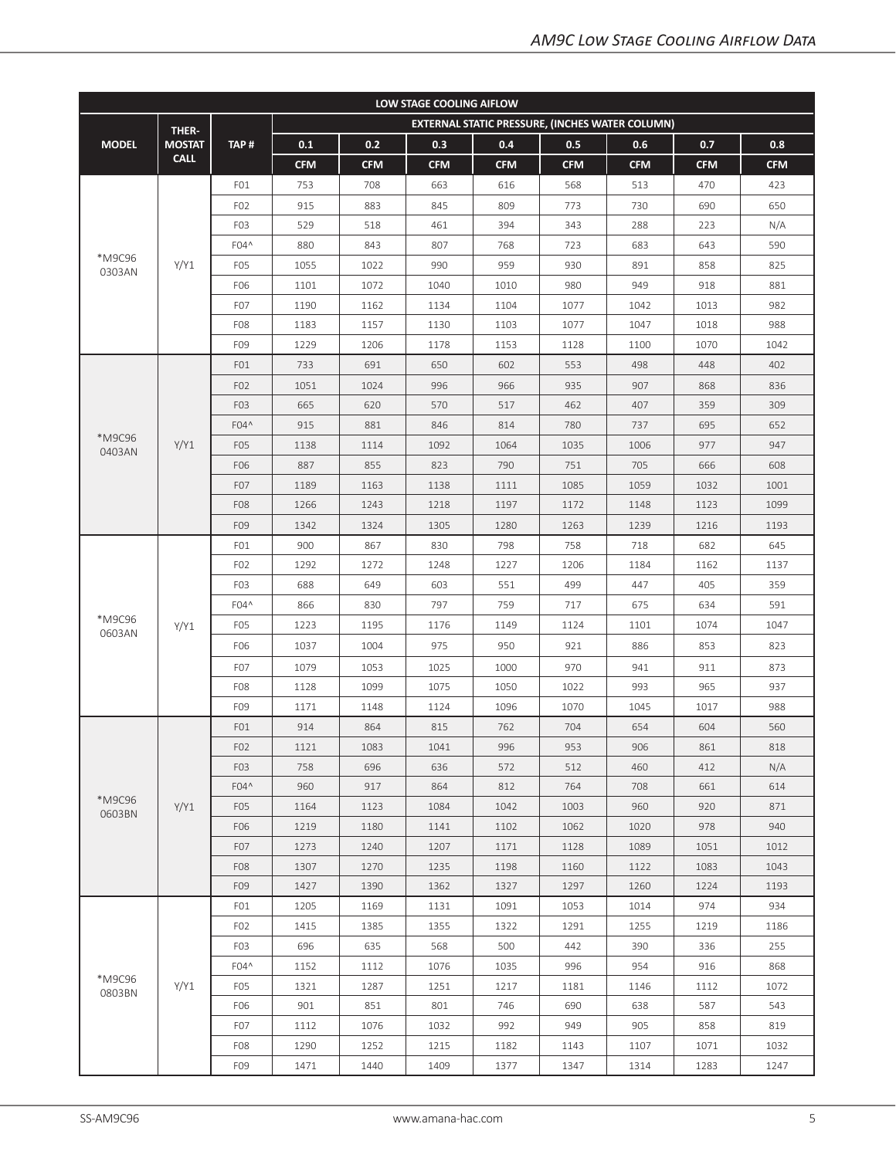| LOW STAGE COOLING AIFLOW |               |                  |            |            |            |            |                                                 |            |            |            |  |  |
|--------------------------|---------------|------------------|------------|------------|------------|------------|-------------------------------------------------|------------|------------|------------|--|--|
|                          | THER-         |                  |            |            |            |            | EXTERNAL STATIC PRESSURE, (INCHES WATER COLUMN) |            |            |            |  |  |
| <b>MODEL</b>             | <b>MOSTAT</b> | TAP#             | 0.1        | 0.2        | 0.3        | 0.4        | 0.5                                             | 0.6        | 0.7        | 0.8        |  |  |
|                          | <b>CALL</b>   |                  | <b>CFM</b> | <b>CFM</b> | <b>CFM</b> | <b>CFM</b> | <b>CFM</b>                                      | <b>CFM</b> | <b>CFM</b> | <b>CFM</b> |  |  |
|                          |               | FO1              | 753        | 708        | 663        | 616        | 568                                             | 513        | 470        | 423        |  |  |
|                          |               | F <sub>02</sub>  | 915        | 883        | 845        | 809        | 773                                             | 730        | 690        | 650        |  |  |
|                          |               | F <sub>0</sub> 3 | 529        | 518        | 461        | 394        | 343                                             | 288        | 223        | N/A        |  |  |
|                          |               | F04^             | 880        | 843        | 807        | 768        | 723                                             | 683        | 643        | 590        |  |  |
| *M9C96<br>0303AN         | Y/Y1          | F <sub>0</sub> 5 | 1055       | 1022       | 990        | 959        | 930                                             | 891        | 858        | 825        |  |  |
|                          |               | F06              | 1101       | 1072       | 1040       | 1010       | 980                                             | 949        | 918        | 881        |  |  |
|                          |               | F <sub>0</sub> 7 | 1190       | 1162       | 1134       | 1104       | 1077                                            | 1042       | 1013       | 982        |  |  |
|                          |               | F <sub>08</sub>  | 1183       | 1157       | 1130       | 1103       | 1077                                            | 1047       | 1018       | 988        |  |  |
|                          |               | F09              | 1229       | 1206       | 1178       | 1153       | 1128                                            | 1100       | 1070       | 1042       |  |  |
|                          |               | FO1              | 733        | 691        | 650        | 602        | 553                                             | 498        | 448        | 402        |  |  |
|                          |               | F <sub>02</sub>  | 1051       | 1024       | 996        | 966        | 935                                             | 907        | 868        | 836        |  |  |
|                          |               | F <sub>0</sub> 3 | 665        | 620        | 570        | 517        | 462                                             | 407        | 359        | 309        |  |  |
|                          |               | F04^             | 915        | 881        | 846        | 814        | 780                                             | 737        | 695        | 652        |  |  |
| *M9C96<br>0403AN         | Y/Y1          | F <sub>05</sub>  | 1138       | 1114       | 1092       | 1064       | 1035                                            | 1006       | 977        | 947        |  |  |
|                          |               | F06              | 887        | 855        | 823        | 790        | 751                                             | 705        | 666        | 608        |  |  |
|                          |               | F <sub>0</sub> 7 | 1189       | 1163       | 1138       | 1111       | 1085                                            | 1059       | 1032       | 1001       |  |  |
|                          |               | F <sub>08</sub>  | 1266       | 1243       | 1218       | 1197       | 1172                                            | 1148       | 1123       | 1099       |  |  |
|                          |               | F09              | 1342       | 1324       | 1305       | 1280       | 1263                                            | 1239       | 1216       | 1193       |  |  |
|                          |               | FO1              | 900        | 867        | 830        | 798        | 758                                             | 718        | 682        | 645        |  |  |
|                          | Y/Y1          | F <sub>02</sub>  | 1292       | 1272       | 1248       | 1227       | 1206                                            | 1184       | 1162       | 1137       |  |  |
|                          |               | F <sub>0</sub> 3 | 688        | 649        | 603        | 551        | 499                                             | 447        | 405        | 359        |  |  |
|                          |               | F04^             | 866        | 830        | 797        | 759        | 717                                             | 675        | 634        | 591        |  |  |
| *M9C96<br>0603AN         |               | F <sub>0</sub> 5 | 1223       | 1195       | 1176       | 1149       | 1124                                            | 1101       | 1074       | 1047       |  |  |
|                          |               | F06              | 1037       | 1004       | 975        | 950        | 921                                             | 886        | 853        | 823        |  |  |
|                          |               | F <sub>0</sub> 7 | 1079       | 1053       | 1025       | 1000       | 970                                             | 941        | 911        | 873        |  |  |
|                          |               | F <sub>08</sub>  | 1128       | 1099       | 1075       | 1050       | 1022                                            | 993        | 965        | 937        |  |  |
|                          |               | F09              | 1171       | 1148       | 1124       | 1096       | 1070                                            | 1045       | 1017       | 988        |  |  |
|                          |               | FO1              | 914        | 864        | 815        | 762        | 704                                             | 654        | 604        | 560        |  |  |
|                          |               | F <sub>02</sub>  | 1121       | 1083       | 1041       | 996        | 953                                             | 906        | 861        | 818        |  |  |
|                          |               | F <sub>0</sub> 3 | 758        | 696        | 636        | 572        | 512                                             | 460        | 412        | N/A        |  |  |
|                          |               | F04^             | 960        | 917        | 864        | 812        | 764                                             | 708        | 661        | 614        |  |  |
| *M9C96<br>0603BN         | Y/Y1          | F <sub>0</sub> 5 | 1164       | 1123       | 1084       | 1042       | 1003                                            | 960        | 920        | 871        |  |  |
|                          |               | F06              | 1219       | 1180       | 1141       | 1102       | 1062                                            | 1020       | 978        | 940        |  |  |
|                          |               | F <sub>07</sub>  | 1273       | 1240       | 1207       | 1171       | 1128                                            | 1089       | 1051       | 1012       |  |  |
|                          |               | F <sub>08</sub>  | 1307       | 1270       | 1235       | 1198       | 1160                                            | 1122       | 1083       | 1043       |  |  |
|                          |               | F <sub>09</sub>  | 1427       | 1390       | 1362       | 1327       | 1297                                            | 1260       | 1224       | 1193       |  |  |
|                          |               | FO1              | 1205       | 1169       | 1131       | 1091       | 1053                                            | 1014       | 974        | 934        |  |  |
|                          |               | FO <sub>2</sub>  | 1415       | 1385       | 1355       | 1322       | 1291                                            | 1255       | 1219       | 1186       |  |  |
|                          |               | F <sub>0</sub> 3 | 696        | 635        | 568        | 500        | 442                                             | 390        | 336        | 255        |  |  |
|                          |               | F04^             | 1152       | 1112       | 1076       | 1035       | 996                                             | 954        | 916        | 868        |  |  |
| *M9C96<br>0803BN         | Y/Y1          | F <sub>05</sub>  | 1321       | 1287       | 1251       | 1217       | 1181                                            | 1146       | 1112       | 1072       |  |  |
|                          |               | F06              | 901        | 851        | 801        | 746        | 690                                             | 638        | 587        | 543        |  |  |
|                          |               | F <sub>0</sub> 7 | 1112       | 1076       | 1032       | 992        | 949                                             | 905        | 858        | 819        |  |  |
|                          |               | F <sub>08</sub>  | 1290       | 1252       | 1215       | 1182       | 1143                                            | 1107       | 1071       | 1032       |  |  |
|                          |               | F <sub>09</sub>  | 1471       | 1440       | 1409       | 1377       | 1347                                            | 1314       | 1283       | 1247       |  |  |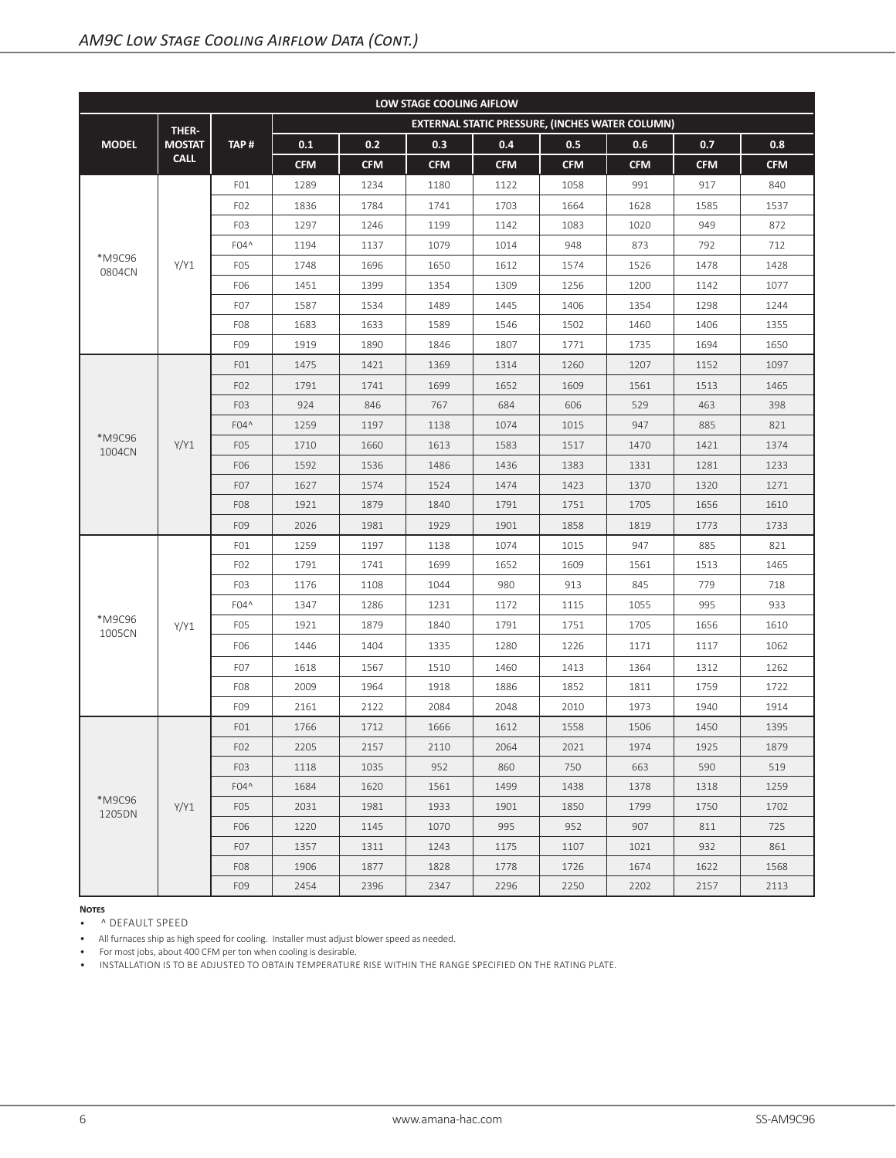| LOW STAGE COOLING AIFLOW |               |                  |            |            |            |            |                                                 |            |            |            |  |
|--------------------------|---------------|------------------|------------|------------|------------|------------|-------------------------------------------------|------------|------------|------------|--|
|                          | THER-         |                  |            |            |            |            | EXTERNAL STATIC PRESSURE, (INCHES WATER COLUMN) |            |            |            |  |
| <b>MODEL</b>             | <b>MOSTAT</b> | TAP#             | 0.1        | 0.2        | 0.3        | 0.4        | 0.5                                             | 0.6        | 0.7        | 0.8        |  |
|                          | <b>CALL</b>   |                  | <b>CFM</b> | <b>CFM</b> | <b>CFM</b> | <b>CFM</b> | <b>CFM</b>                                      | <b>CFM</b> | <b>CFM</b> | <b>CFM</b> |  |
|                          |               | FO1              | 1289       | 1234       | 1180       | 1122       | 1058                                            | 991        | 917        | 840        |  |
|                          |               | F <sub>02</sub>  | 1836       | 1784       | 1741       | 1703       | 1664                                            | 1628       | 1585       | 1537       |  |
|                          |               | F <sub>0</sub> 3 | 1297       | 1246       | 1199       | 1142       | 1083                                            | 1020       | 949        | 872        |  |
|                          |               | F04^             | 1194       | 1137       | 1079       | 1014       | 948                                             | 873        | 792        | 712        |  |
| *M9C96<br>0804CN         | Y/Y1          | F <sub>0</sub> 5 | 1748       | 1696       | 1650       | 1612       | 1574                                            | 1526       | 1478       | 1428       |  |
|                          |               | F06              | 1451       | 1399       | 1354       | 1309       | 1256                                            | 1200       | 1142       | 1077       |  |
|                          |               | F <sub>0</sub> 7 | 1587       | 1534       | 1489       | 1445       | 1406                                            | 1354       | 1298       | 1244       |  |
|                          |               | F <sub>08</sub>  | 1683       | 1633       | 1589       | 1546       | 1502                                            | 1460       | 1406       | 1355       |  |
|                          |               | F <sub>09</sub>  | 1919       | 1890       | 1846       | 1807       | 1771                                            | 1735       | 1694       | 1650       |  |
|                          |               | FO1              | 1475       | 1421       | 1369       | 1314       | 1260                                            | 1207       | 1152       | 1097       |  |
|                          |               | F <sub>02</sub>  | 1791       | 1741       | 1699       | 1652       | 1609                                            | 1561       | 1513       | 1465       |  |
|                          |               | F <sub>0</sub> 3 | 924        | 846        | 767        | 684        | 606                                             | 529        | 463        | 398        |  |
|                          |               | F04^             | 1259       | 1197       | 1138       | 1074       | 1015                                            | 947        | 885        | 821        |  |
| *M9C96<br>1004CN         | Y/Y1          | F <sub>05</sub>  | 1710       | 1660       | 1613       | 1583       | 1517                                            | 1470       | 1421       | 1374       |  |
|                          |               | F06              | 1592       | 1536       | 1486       | 1436       | 1383                                            | 1331       | 1281       | 1233       |  |
|                          |               | F <sub>0</sub> 7 | 1627       | 1574       | 1524       | 1474       | 1423                                            | 1370       | 1320       | 1271       |  |
|                          |               | F <sub>08</sub>  | 1921       | 1879       | 1840       | 1791       | 1751                                            | 1705       | 1656       | 1610       |  |
|                          |               | F09              | 2026       | 1981       | 1929       | 1901       | 1858                                            | 1819       | 1773       | 1733       |  |
|                          |               | FO1              | 1259       | 1197       | 1138       | 1074       | 1015                                            | 947        | 885        | 821        |  |
|                          |               | F <sub>02</sub>  | 1791       | 1741       | 1699       | 1652       | 1609                                            | 1561       | 1513       | 1465       |  |
|                          |               | F <sub>0</sub> 3 | 1176       | 1108       | 1044       | 980        | 913                                             | 845        | 779        | 718        |  |
|                          |               | F04^             | 1347       | 1286       | 1231       | 1172       | 1115                                            | 1055       | 995        | 933        |  |
| *M9C96<br>1005CN         | Y/Y1          | F <sub>0</sub> 5 | 1921       | 1879       | 1840       | 1791       | 1751                                            | 1705       | 1656       | 1610       |  |
|                          |               | F06              | 1446       | 1404       | 1335       | 1280       | 1226                                            | 1171       | 1117       | 1062       |  |
|                          |               | F <sub>0</sub> 7 | 1618       | 1567       | 1510       | 1460       | 1413                                            | 1364       | 1312       | 1262       |  |
|                          |               | F <sub>08</sub>  | 2009       | 1964       | 1918       | 1886       | 1852                                            | 1811       | 1759       | 1722       |  |
|                          |               | F09              | 2161       | 2122       | 2084       | 2048       | 2010                                            | 1973       | 1940       | 1914       |  |
|                          |               | FO <sub>1</sub>  | 1766       | 1712       | 1666       | 1612       | 1558                                            | 1506       | 1450       | 1395       |  |
|                          |               | F <sub>02</sub>  | 2205       | 2157       | 2110       | 2064       | 2021                                            | 1974       | 1925       | 1879       |  |
|                          |               | F <sub>0</sub> 3 | 1118       | 1035       | 952        | 860        | 750                                             | 663        | 590        | 519        |  |
|                          |               | F04^             | 1684       | 1620       | 1561       | 1499       | 1438                                            | 1378       | 1318       | 1259       |  |
| *M9C96<br>1205DN         | Y/Y1          | F <sub>05</sub>  | 2031       | 1981       | 1933       | 1901       | 1850                                            | 1799       | 1750       | 1702       |  |
|                          |               | F06              | 1220       | 1145       | 1070       | 995        | 952                                             | 907        | 811        | 725        |  |
|                          |               | F <sub>0</sub> 7 | 1357       | 1311       | 1243       | 1175       | 1107                                            | 1021       | 932        | 861        |  |
|                          |               | F <sub>08</sub>  | 1906       | 1877       | 1828       | 1778       | 1726                                            | 1674       | 1622       | 1568       |  |
|                          |               | F09              | 2454       | 2396       | 2347       | 2296       | 2250                                            | 2202       | 2157       | 2113       |  |

• ^ DEFAULT SPEED

• All furnaces ship as high speed for cooling. Installer must adjust blower speed as needed.

• For most jobs, about 400 CFM per ton when cooling is desirable.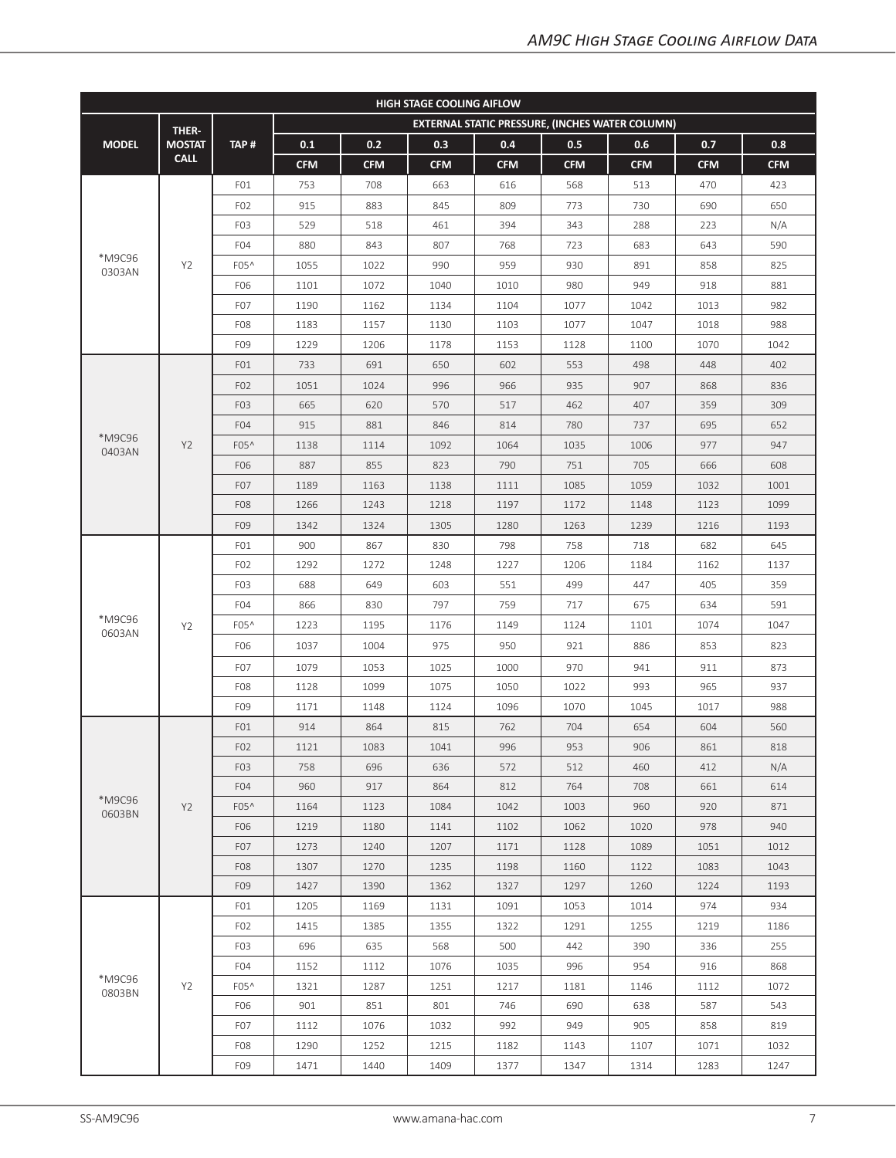| <b>HIGH STAGE COOLING AIFLOW</b> |                |                  |            |            |            |            |                                                        |            |            |            |  |
|----------------------------------|----------------|------------------|------------|------------|------------|------------|--------------------------------------------------------|------------|------------|------------|--|
|                                  | THER-          |                  |            |            |            |            | <b>EXTERNAL STATIC PRESSURE, (INCHES WATER COLUMN)</b> |            |            |            |  |
| <b>MODEL</b>                     | <b>MOSTAT</b>  | TAP#             | 0.1        | 0.2        | 0.3        | 0.4        | 0.5                                                    | 0.6        | 0.7        | 0.8        |  |
|                                  | <b>CALL</b>    |                  | <b>CFM</b> | <b>CFM</b> | <b>CFM</b> | <b>CFM</b> | <b>CFM</b>                                             | <b>CFM</b> | <b>CFM</b> | <b>CFM</b> |  |
|                                  |                | FO1              | 753        | 708        | 663        | 616        | 568                                                    | 513        | 470        | 423        |  |
|                                  |                | F <sub>02</sub>  | 915        | 883        | 845        | 809        | 773                                                    | 730        | 690        | 650        |  |
|                                  |                | F <sub>0</sub> 3 | 529        | 518        | 461        | 394        | 343                                                    | 288        | 223        | N/A        |  |
|                                  |                | F <sub>04</sub>  | 880        | 843        | 807        | 768        | 723                                                    | 683        | 643        | 590        |  |
| *M9C96<br>0303AN                 | Y2             | F05^             | 1055       | 1022       | 990        | 959        | 930                                                    | 891        | 858        | 825        |  |
|                                  |                | F06              | 1101       | 1072       | 1040       | 1010       | 980                                                    | 949        | 918        | 881        |  |
|                                  |                | F <sub>0</sub> 7 | 1190       | 1162       | 1134       | 1104       | 1077                                                   | 1042       | 1013       | 982        |  |
|                                  |                | F <sub>08</sub>  | 1183       | 1157       | 1130       | 1103       | 1077                                                   | 1047       | 1018       | 988        |  |
|                                  |                | F09              | 1229       | 1206       | 1178       | 1153       | 1128                                                   | 1100       | 1070       | 1042       |  |
|                                  |                | FO1              | 733        | 691        | 650        | 602        | 553                                                    | 498        | 448        | 402        |  |
|                                  |                | F <sub>02</sub>  | 1051       | 1024       | 996        | 966        | 935                                                    | 907        | 868        | 836        |  |
|                                  |                | F <sub>0</sub> 3 | 665        | 620        | 570        | 517        | 462                                                    | 407        | 359        | 309        |  |
|                                  |                | F <sub>04</sub>  | 915        | 881        | 846        | 814        | 780                                                    | 737        | 695        | 652        |  |
| *M9C96<br>0403AN                 | Y2             | F05^             | 1138       | 1114       | 1092       | 1064       | 1035                                                   | 1006       | 977        | 947        |  |
|                                  |                | F06              | 887        | 855        | 823        | 790        | 751                                                    | 705        | 666        | 608        |  |
|                                  |                | F <sub>0</sub> 7 | 1189       | 1163       | 1138       | 1111       | 1085                                                   | 1059       | 1032       | 1001       |  |
|                                  |                | F <sub>08</sub>  | 1266       | 1243       | 1218       | 1197       | 1172                                                   | 1148       | 1123       | 1099       |  |
|                                  |                | F09              | 1342       | 1324       | 1305       | 1280       | 1263                                                   | 1239       | 1216       | 1193       |  |
|                                  |                | FO1              | 900        | 867        | 830        | 798        | 758                                                    | 718        | 682        | 645        |  |
|                                  | Y <sub>2</sub> | F <sub>02</sub>  | 1292       | 1272       | 1248       | 1227       | 1206                                                   | 1184       | 1162       | 1137       |  |
|                                  |                | F <sub>0</sub> 3 | 688        | 649        | 603        | 551        | 499                                                    | 447        | 405        | 359        |  |
|                                  |                | F <sub>04</sub>  | 866        | 830        | 797        | 759        | 717                                                    | 675        | 634        | 591        |  |
| *M9C96<br>0603AN                 |                | F05^             | 1223       | 1195       | 1176       | 1149       | 1124                                                   | 1101       | 1074       | 1047       |  |
|                                  |                | F06              | 1037       | 1004       | 975        | 950        | 921                                                    | 886        | 853        | 823        |  |
|                                  |                | F <sub>0</sub> 7 | 1079       | 1053       | 1025       | 1000       | 970                                                    | 941        | 911        | 873        |  |
|                                  |                | F <sub>08</sub>  | 1128       | 1099       | 1075       | 1050       | 1022                                                   | 993        | 965        | 937        |  |
|                                  |                | F09              | 1171       | 1148       | 1124       | 1096       | 1070                                                   | 1045       | 1017       | 988        |  |
|                                  |                | FO1              | 914        | 864        | 815        | 762        | 704                                                    | 654        | 604        | 560        |  |
|                                  |                | F <sub>02</sub>  | 1121       | 1083       | 1041       | 996        | 953                                                    | 906        | 861        | 818        |  |
|                                  |                | F <sub>0</sub> 3 | 758        | 696        | 636        | 572        | 512                                                    | 460        | 412        | N/A        |  |
|                                  |                | F <sub>04</sub>  | 960        | 917        | 864        | 812        | 764                                                    | 708        | 661        | 614        |  |
| *M9C96<br>0603BN                 | <b>Y2</b>      | F05^             | 1164       | 1123       | 1084       | 1042       | 1003                                                   | 960        | 920        | 871        |  |
|                                  |                | F06              | 1219       | 1180       | 1141       | 1102       | 1062                                                   | 1020       | 978        | 940        |  |
|                                  |                | F <sub>0</sub> 7 | 1273       | 1240       | 1207       | 1171       | 1128                                                   | 1089       | 1051       | 1012       |  |
|                                  |                | F <sub>0</sub> 8 | 1307       | 1270       | 1235       | 1198       | 1160                                                   | 1122       | 1083       | 1043       |  |
|                                  |                | F <sub>09</sub>  | 1427       | 1390       | 1362       | 1327       | 1297                                                   | 1260       | 1224       | 1193       |  |
|                                  |                | FO1              | 1205       | 1169       | 1131       | 1091       | 1053                                                   | 1014       | 974        | 934        |  |
|                                  |                | F <sub>02</sub>  | 1415       | 1385       | 1355       | 1322       | 1291                                                   | 1255       | 1219       | 1186       |  |
|                                  |                | F <sub>0</sub> 3 | 696        | 635        | 568        | 500        | 442                                                    | 390        | 336        | 255        |  |
|                                  |                | F04              | 1152       | 1112       | 1076       | 1035       | 996                                                    | 954        | 916        | 868        |  |
| *M9C96<br>0803BN                 | Y <sub>2</sub> | F05^             | 1321       | 1287       | 1251       | 1217       | 1181                                                   | 1146       | 1112       | 1072       |  |
|                                  |                | F06              | 901        | 851        | 801        | 746        | 690                                                    | 638        | 587        | 543        |  |
|                                  |                | F <sub>0</sub> 7 | 1112       | 1076       | 1032       | 992        | 949                                                    | 905        | 858        | 819        |  |
|                                  |                | F <sub>08</sub>  | 1290       | 1252       | 1215       | 1182       | 1143                                                   | 1107       | 1071       | 1032       |  |
|                                  |                | F <sub>09</sub>  | 1471       | 1440       | 1409       | 1377       | 1347                                                   | 1314       | 1283       | 1247       |  |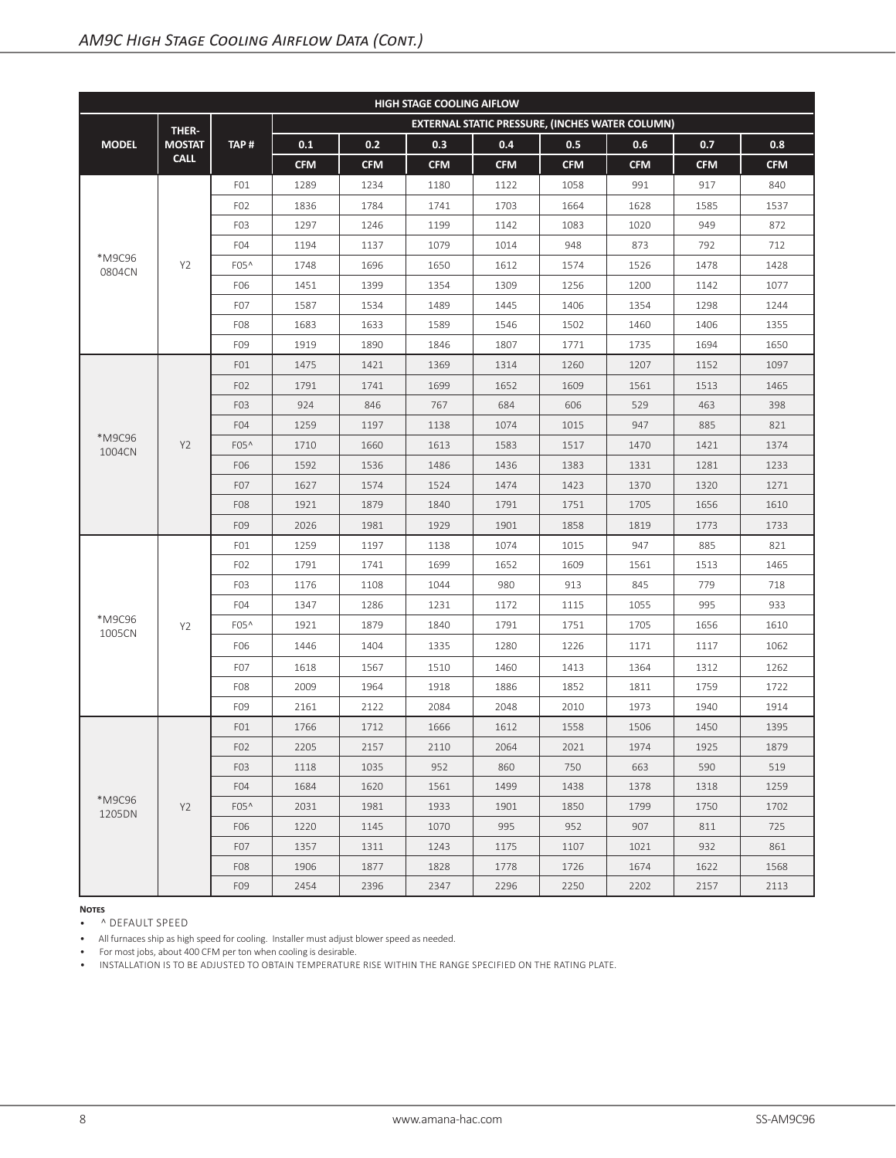| <b>HIGH STAGE COOLING AIFLOW</b> |                |                  |            |            |            |            |                                                 |            |            |            |  |
|----------------------------------|----------------|------------------|------------|------------|------------|------------|-------------------------------------------------|------------|------------|------------|--|
|                                  | THER-          |                  |            |            |            |            | EXTERNAL STATIC PRESSURE, (INCHES WATER COLUMN) |            |            |            |  |
| <b>MODEL</b>                     | <b>MOSTAT</b>  | TAP#             | 0.1        | 0.2        | 0.3        | 0.4        | 0.5                                             | 0.6        | 0.7        | 0.8        |  |
|                                  | <b>CALL</b>    |                  | <b>CFM</b> | <b>CFM</b> | <b>CFM</b> | <b>CFM</b> | <b>CFM</b>                                      | <b>CFM</b> | <b>CFM</b> | <b>CFM</b> |  |
|                                  |                | FO1              | 1289       | 1234       | 1180       | 1122       | 1058                                            | 991        | 917        | 840        |  |
|                                  |                | F <sub>02</sub>  | 1836       | 1784       | 1741       | 1703       | 1664                                            | 1628       | 1585       | 1537       |  |
|                                  |                | F <sub>0</sub> 3 | 1297       | 1246       | 1199       | 1142       | 1083                                            | 1020       | 949        | 872        |  |
|                                  |                | F <sub>04</sub>  | 1194       | 1137       | 1079       | 1014       | 948                                             | 873        | 792        | 712        |  |
| *M9C96<br>0804CN                 | Y2             | F05^             | 1748       | 1696       | 1650       | 1612       | 1574                                            | 1526       | 1478       | 1428       |  |
|                                  |                | F06              | 1451       | 1399       | 1354       | 1309       | 1256                                            | 1200       | 1142       | 1077       |  |
|                                  |                | F <sub>0</sub> 7 | 1587       | 1534       | 1489       | 1445       | 1406                                            | 1354       | 1298       | 1244       |  |
|                                  |                | F <sub>08</sub>  | 1683       | 1633       | 1589       | 1546       | 1502                                            | 1460       | 1406       | 1355       |  |
|                                  |                | F <sub>09</sub>  | 1919       | 1890       | 1846       | 1807       | 1771                                            | 1735       | 1694       | 1650       |  |
|                                  |                | FO1              | 1475       | 1421       | 1369       | 1314       | 1260                                            | 1207       | 1152       | 1097       |  |
|                                  |                | F <sub>02</sub>  | 1791       | 1741       | 1699       | 1652       | 1609                                            | 1561       | 1513       | 1465       |  |
|                                  |                | F <sub>0</sub> 3 | 924        | 846        | 767        | 684        | 606                                             | 529        | 463        | 398        |  |
|                                  |                | F <sub>04</sub>  | 1259       | 1197       | 1138       | 1074       | 1015                                            | 947        | 885        | 821        |  |
| *M9C96<br>1004CN                 | Y <sub>2</sub> | F05 <sup>^</sup> | 1710       | 1660       | 1613       | 1583       | 1517                                            | 1470       | 1421       | 1374       |  |
|                                  |                | F06              | 1592       | 1536       | 1486       | 1436       | 1383                                            | 1331       | 1281       | 1233       |  |
|                                  |                | F <sub>0</sub> 7 | 1627       | 1574       | 1524       | 1474       | 1423                                            | 1370       | 1320       | 1271       |  |
|                                  |                | F <sub>08</sub>  | 1921       | 1879       | 1840       | 1791       | 1751                                            | 1705       | 1656       | 1610       |  |
|                                  |                | F09              | 2026       | 1981       | 1929       | 1901       | 1858                                            | 1819       | 1773       | 1733       |  |
|                                  |                | FO1              | 1259       | 1197       | 1138       | 1074       | 1015                                            | 947        | 885        | 821        |  |
|                                  |                | F <sub>02</sub>  | 1791       | 1741       | 1699       | 1652       | 1609                                            | 1561       | 1513       | 1465       |  |
|                                  |                | F <sub>0</sub> 3 | 1176       | 1108       | 1044       | 980        | 913                                             | 845        | 779        | 718        |  |
|                                  |                | F <sub>04</sub>  | 1347       | 1286       | 1231       | 1172       | 1115                                            | 1055       | 995        | 933        |  |
| *M9C96<br>1005CN                 | Y2             | F05^             | 1921       | 1879       | 1840       | 1791       | 1751                                            | 1705       | 1656       | 1610       |  |
|                                  |                | F06              | 1446       | 1404       | 1335       | 1280       | 1226                                            | 1171       | 1117       | 1062       |  |
|                                  |                | F <sub>0</sub> 7 | 1618       | 1567       | 1510       | 1460       | 1413                                            | 1364       | 1312       | 1262       |  |
|                                  |                | F <sub>08</sub>  | 2009       | 1964       | 1918       | 1886       | 1852                                            | 1811       | 1759       | 1722       |  |
|                                  |                | F09              | 2161       | 2122       | 2084       | 2048       | 2010                                            | 1973       | 1940       | 1914       |  |
|                                  |                | FO <sub>1</sub>  | 1766       | 1712       | 1666       | 1612       | 1558                                            | 1506       | 1450       | 1395       |  |
|                                  |                | F <sub>02</sub>  | 2205       | 2157       | 2110       | 2064       | 2021                                            | 1974       | 1925       | 1879       |  |
|                                  |                | F <sub>0</sub> 3 | 1118       | 1035       | 952        | 860        | 750                                             | 663        | 590        | 519        |  |
|                                  |                | F <sub>04</sub>  | 1684       | 1620       | 1561       | 1499       | 1438                                            | 1378       | 1318       | 1259       |  |
| *M9C96<br>1205DN                 | Y <sub>2</sub> | $F05^$           | 2031       | 1981       | 1933       | 1901       | 1850                                            | 1799       | 1750       | 1702       |  |
|                                  |                | F06              | 1220       | 1145       | 1070       | 995        | 952                                             | 907        | 811        | 725        |  |
|                                  |                | F <sub>07</sub>  | 1357       | 1311       | 1243       | 1175       | 1107                                            | 1021       | 932        | 861        |  |
|                                  |                | F <sub>08</sub>  | 1906       | 1877       | 1828       | 1778       | 1726                                            | 1674       | 1622       | 1568       |  |
|                                  |                | F09              | 2454       | 2396       | 2347       | 2296       | 2250                                            | 2202       | 2157       | 2113       |  |

• ^ DEFAULT SPEED

• All furnaces ship as high speed for cooling. Installer must adjust blower speed as needed.

• For most jobs, about 400 CFM per ton when cooling is desirable.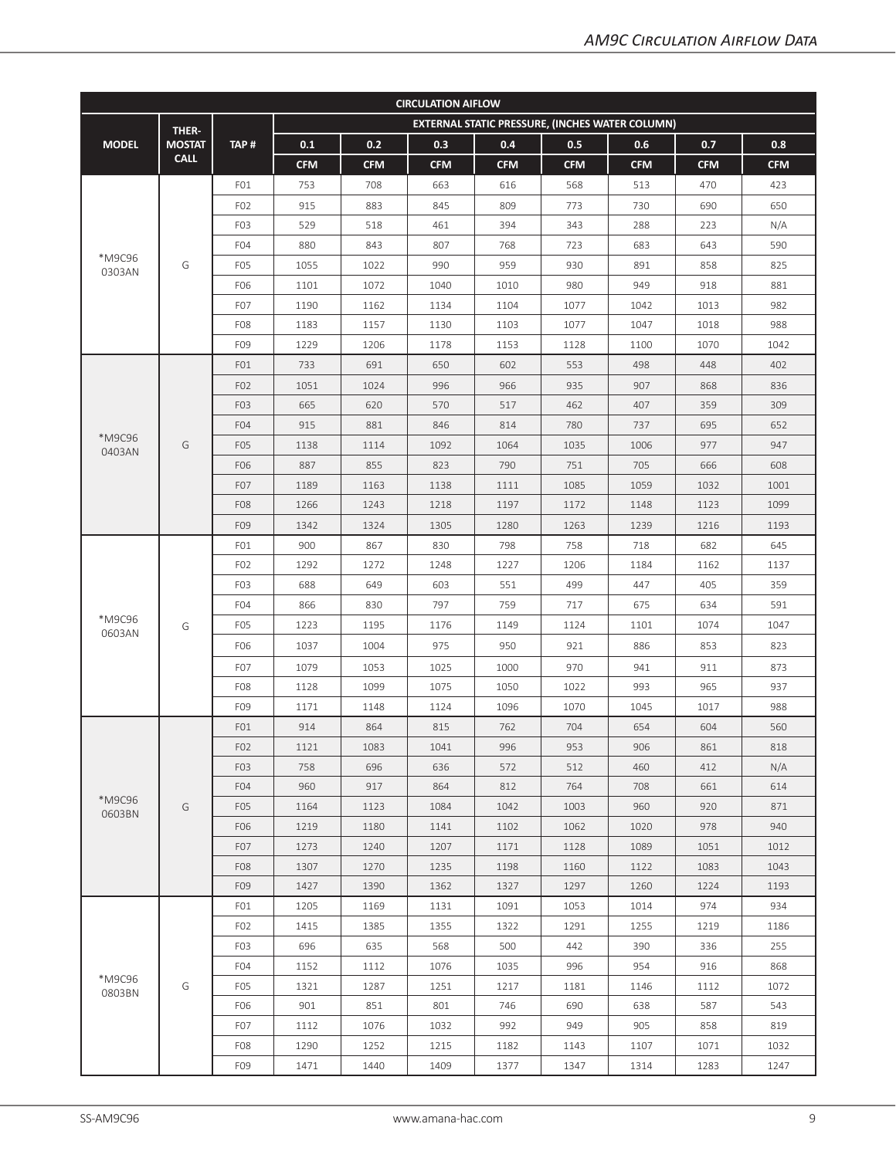| <b>CIRCULATION AIFLOW</b> |               |                  |            |            |            |            |                                                 |            |            |            |  |
|---------------------------|---------------|------------------|------------|------------|------------|------------|-------------------------------------------------|------------|------------|------------|--|
|                           | THER-         |                  |            |            |            |            | EXTERNAL STATIC PRESSURE, (INCHES WATER COLUMN) |            |            |            |  |
| <b>MODEL</b>              | <b>MOSTAT</b> | TAP#             | 0.1        | 0.2        | 0.3        | 0.4        | 0.5                                             | 0.6        | 0.7        | 0.8        |  |
|                           | <b>CALL</b>   |                  | <b>CFM</b> | <b>CFM</b> | <b>CFM</b> | <b>CFM</b> | <b>CFM</b>                                      | <b>CFM</b> | <b>CFM</b> | <b>CFM</b> |  |
|                           |               | FO1              | 753        | 708        | 663        | 616        | 568                                             | 513        | 470        | 423        |  |
|                           |               | F <sub>02</sub>  | 915        | 883        | 845        | 809        | 773                                             | 730        | 690        | 650        |  |
|                           |               | F <sub>0</sub> 3 | 529        | 518        | 461        | 394        | 343                                             | 288        | 223        | N/A        |  |
|                           |               | F <sub>04</sub>  | 880        | 843        | 807        | 768        | 723                                             | 683        | 643        | 590        |  |
| *M9C96<br>0303AN          | G             | F <sub>0</sub> 5 | 1055       | 1022       | 990        | 959        | 930                                             | 891        | 858        | 825        |  |
|                           |               | F06              | 1101       | 1072       | 1040       | 1010       | 980                                             | 949        | 918        | 881        |  |
|                           |               | F <sub>0</sub> 7 | 1190       | 1162       | 1134       | 1104       | 1077                                            | 1042       | 1013       | 982        |  |
|                           |               | F <sub>08</sub>  | 1183       | 1157       | 1130       | 1103       | 1077                                            | 1047       | 1018       | 988        |  |
|                           |               | F09              | 1229       | 1206       | 1178       | 1153       | 1128                                            | 1100       | 1070       | 1042       |  |
|                           |               | FO1              | 733        | 691        | 650        | 602        | 553                                             | 498        | 448        | 402        |  |
|                           |               | F <sub>02</sub>  | 1051       | 1024       | 996        | 966        | 935                                             | 907        | 868        | 836        |  |
|                           |               | F <sub>0</sub> 3 | 665        | 620        | 570        | 517        | 462                                             | 407        | 359        | 309        |  |
|                           |               | F <sub>04</sub>  | 915        | 881        | 846        | 814        | 780                                             | 737        | 695        | 652        |  |
| *M9C96<br>0403AN          | G             | F <sub>05</sub>  | 1138       | 1114       | 1092       | 1064       | 1035                                            | 1006       | 977        | 947        |  |
|                           |               | F06              | 887        | 855        | 823        | 790        | 751                                             | 705        | 666        | 608        |  |
|                           |               | F <sub>0</sub> 7 | 1189       | 1163       | 1138       | 1111       | 1085                                            | 1059       | 1032       | 1001       |  |
|                           |               | F <sub>08</sub>  | 1266       | 1243       | 1218       | 1197       | 1172                                            | 1148       | 1123       | 1099       |  |
|                           |               | F09              | 1342       | 1324       | 1305       | 1280       | 1263                                            | 1239       | 1216       | 1193       |  |
|                           |               | FO1              | 900        | 867        | 830        | 798        | 758                                             | 718        | 682        | 645        |  |
|                           | G             | F <sub>02</sub>  | 1292       | 1272       | 1248       | 1227       | 1206                                            | 1184       | 1162       | 1137       |  |
|                           |               | F <sub>0</sub> 3 | 688        | 649        | 603        | 551        | 499                                             | 447        | 405        | 359        |  |
|                           |               | F <sub>04</sub>  | 866        | 830        | 797        | 759        | 717                                             | 675        | 634        | 591        |  |
| *M9C96<br>0603AN          |               | F <sub>0</sub> 5 | 1223       | 1195       | 1176       | 1149       | 1124                                            | 1101       | 1074       | 1047       |  |
|                           |               | F06              | 1037       | 1004       | 975        | 950        | 921                                             | 886        | 853        | 823        |  |
|                           |               | F <sub>0</sub> 7 | 1079       | 1053       | 1025       | 1000       | 970                                             | 941        | 911        | 873        |  |
|                           |               | F <sub>08</sub>  | 1128       | 1099       | 1075       | 1050       | 1022                                            | 993        | 965        | 937        |  |
|                           |               | F09              | 1171       | 1148       | 1124       | 1096       | 1070                                            | 1045       | 1017       | 988        |  |
|                           |               | FO1              | 914        | 864        | 815        | 762        | 704                                             | 654        | 604        | 560        |  |
|                           |               | F <sub>02</sub>  | 1121       | 1083       | 1041       | 996        | 953                                             | 906        | 861        | 818        |  |
|                           |               | F <sub>0</sub> 3 | 758        | 696        | 636        | 572        | 512                                             | 460        | 412        | N/A        |  |
|                           |               | F <sub>04</sub>  | 960        | 917        | 864        | 812        | 764                                             | 708        | 661        | 614        |  |
| *M9C96                    | G             | F <sub>05</sub>  | 1164       | 1123       | 1084       | 1042       | 1003                                            | 960        | 920        | 871        |  |
| 0603BN                    |               | F06              | 1219       | 1180       | 1141       | 1102       | 1062                                            | 1020       | 978        | 940        |  |
|                           |               | F <sub>0</sub> 7 | 1273       | 1240       | 1207       | 1171       | 1128                                            | 1089       | 1051       | 1012       |  |
|                           |               | F <sub>0</sub> 8 | 1307       | 1270       | 1235       | 1198       | 1160                                            | 1122       | 1083       | 1043       |  |
|                           |               | F09              | 1427       | 1390       | 1362       | 1327       | 1297                                            | 1260       | 1224       | 1193       |  |
|                           |               | FO1              | 1205       | 1169       | 1131       | 1091       | 1053                                            | 1014       | 974        | 934        |  |
|                           |               | F <sub>02</sub>  | 1415       | 1385       | 1355       | 1322       | 1291                                            | 1255       | 1219       | 1186       |  |
|                           |               | F <sub>0</sub> 3 | 696        | 635        | 568        | 500        | 442                                             | 390        | 336        | 255        |  |
|                           |               | F <sub>04</sub>  | 1152       | 1112       | 1076       | 1035       | 996                                             | 954        | 916        | 868        |  |
| *M9C96<br>0803BN          | G             | F <sub>0</sub> 5 | 1321       | 1287       | 1251       | 1217       | 1181                                            | 1146       | 1112       | 1072       |  |
|                           |               | F06              | 901        | 851        | 801        | 746        | 690                                             | 638        | 587        | 543        |  |
|                           |               | F <sub>0</sub> 7 | 1112       | 1076       | 1032       | 992        | 949                                             | 905        | 858        | 819        |  |
|                           |               | F <sub>08</sub>  | 1290       | 1252       | 1215       | 1182       | 1143                                            | 1107       | 1071       | 1032       |  |
|                           |               | F09              | 1471       | 1440       | 1409       | 1377       | 1347                                            | 1314       | 1283       | 1247       |  |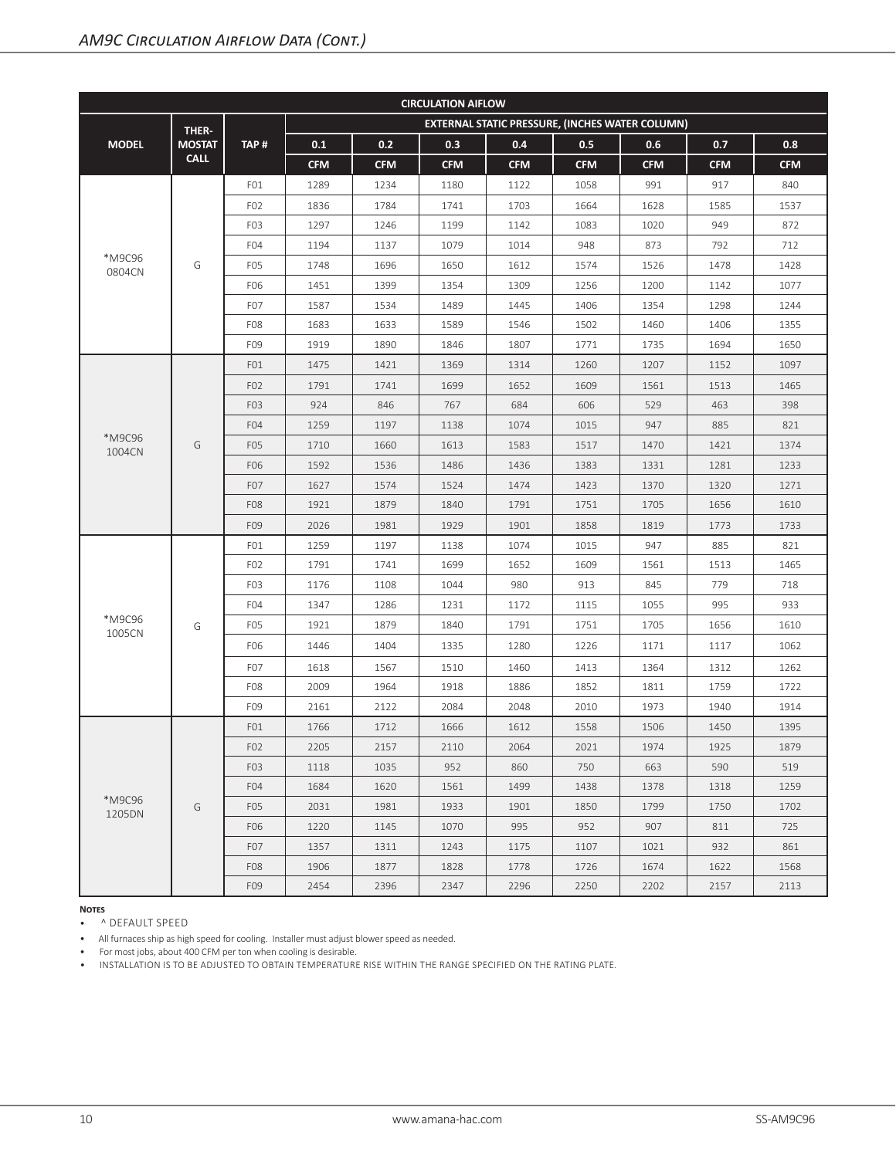| <b>CIRCULATION AIFLOW</b> |               |                  |            |            |            |            |                                                        |            |            |            |  |
|---------------------------|---------------|------------------|------------|------------|------------|------------|--------------------------------------------------------|------------|------------|------------|--|
|                           | THER-         |                  |            |            |            |            | <b>EXTERNAL STATIC PRESSURE, (INCHES WATER COLUMN)</b> |            |            |            |  |
| <b>MODEL</b>              | <b>MOSTAT</b> | TAP#             | 0.1        | 0.2        | 0.3        | 0.4        | 0.5                                                    | 0.6        | 0.7        | 0.8        |  |
|                           | <b>CALL</b>   |                  | <b>CFM</b> | <b>CFM</b> | <b>CFM</b> | <b>CFM</b> | <b>CFM</b>                                             | <b>CFM</b> | <b>CFM</b> | <b>CFM</b> |  |
|                           |               | FO1              | 1289       | 1234       | 1180       | 1122       | 1058                                                   | 991        | 917        | 840        |  |
|                           |               | F <sub>02</sub>  | 1836       | 1784       | 1741       | 1703       | 1664                                                   | 1628       | 1585       | 1537       |  |
|                           |               | F <sub>0</sub> 3 | 1297       | 1246       | 1199       | 1142       | 1083                                                   | 1020       | 949        | 872        |  |
|                           |               | F <sub>04</sub>  | 1194       | 1137       | 1079       | 1014       | 948                                                    | 873        | 792        | 712        |  |
| *M9C96<br>0804CN          | G             | F <sub>0</sub> 5 | 1748       | 1696       | 1650       | 1612       | 1574                                                   | 1526       | 1478       | 1428       |  |
|                           |               | F06              | 1451       | 1399       | 1354       | 1309       | 1256                                                   | 1200       | 1142       | 1077       |  |
|                           |               | F <sub>0</sub> 7 | 1587       | 1534       | 1489       | 1445       | 1406                                                   | 1354       | 1298       | 1244       |  |
|                           |               | F <sub>08</sub>  | 1683       | 1633       | 1589       | 1546       | 1502                                                   | 1460       | 1406       | 1355       |  |
|                           |               | F09              | 1919       | 1890       | 1846       | 1807       | 1771                                                   | 1735       | 1694       | 1650       |  |
|                           |               | FO1              | 1475       | 1421       | 1369       | 1314       | 1260                                                   | 1207       | 1152       | 1097       |  |
|                           |               | F <sub>02</sub>  | 1791       | 1741       | 1699       | 1652       | 1609                                                   | 1561       | 1513       | 1465       |  |
|                           |               | F <sub>0</sub> 3 | 924        | 846        | 767        | 684        | 606                                                    | 529        | 463        | 398        |  |
|                           |               | F <sub>04</sub>  | 1259       | 1197       | 1138       | 1074       | 1015                                                   | 947        | 885        | 821        |  |
| *M9C96<br>1004CN          | G             | F <sub>05</sub>  | 1710       | 1660       | 1613       | 1583       | 1517                                                   | 1470       | 1421       | 1374       |  |
|                           |               | F06              | 1592       | 1536       | 1486       | 1436       | 1383                                                   | 1331       | 1281       | 1233       |  |
|                           |               | F <sub>0</sub> 7 | 1627       | 1574       | 1524       | 1474       | 1423                                                   | 1370       | 1320       | 1271       |  |
|                           |               | F <sub>08</sub>  | 1921       | 1879       | 1840       | 1791       | 1751                                                   | 1705       | 1656       | 1610       |  |
|                           |               | F09              | 2026       | 1981       | 1929       | 1901       | 1858                                                   | 1819       | 1773       | 1733       |  |
|                           |               | FO1              | 1259       | 1197       | 1138       | 1074       | 1015                                                   | 947        | 885        | 821        |  |
|                           |               | F <sub>02</sub>  | 1791       | 1741       | 1699       | 1652       | 1609                                                   | 1561       | 1513       | 1465       |  |
|                           |               | F <sub>0</sub> 3 | 1176       | 1108       | 1044       | 980        | 913                                                    | 845        | 779        | 718        |  |
|                           |               | F <sub>04</sub>  | 1347       | 1286       | 1231       | 1172       | 1115                                                   | 1055       | 995        | 933        |  |
| *M9C96<br>1005CN          | G             | F <sub>0</sub> 5 | 1921       | 1879       | 1840       | 1791       | 1751                                                   | 1705       | 1656       | 1610       |  |
|                           |               | F06              | 1446       | 1404       | 1335       | 1280       | 1226                                                   | 1171       | 1117       | 1062       |  |
|                           |               | F <sub>0</sub> 7 | 1618       | 1567       | 1510       | 1460       | 1413                                                   | 1364       | 1312       | 1262       |  |
|                           |               | F <sub>08</sub>  | 2009       | 1964       | 1918       | 1886       | 1852                                                   | 1811       | 1759       | 1722       |  |
|                           |               | F09              | 2161       | 2122       | 2084       | 2048       | 2010                                                   | 1973       | 1940       | 1914       |  |
|                           |               | FO1              | 1766       | 1712       | 1666       | 1612       | 1558                                                   | 1506       | 1450       | 1395       |  |
|                           |               | F <sub>0</sub> 2 | 2205       | 2157       | 2110       | 2064       | 2021                                                   | 1974       | 1925       | 1879       |  |
|                           |               | F <sub>0</sub> 3 | 1118       | 1035       | 952        | 860        | 750                                                    | 663        | 590        | 519        |  |
|                           |               | F <sub>04</sub>  | 1684       | 1620       | 1561       | 1499       | 1438                                                   | 1378       | 1318       | 1259       |  |
| *M9C96                    | G             | F <sub>05</sub>  | 2031       | 1981       | 1933       | 1901       | 1850                                                   | 1799       | 1750       | 1702       |  |
| 1205DN                    |               | F06              | 1220       | 1145       | 1070       | 995        | 952                                                    | 907        | 811        | 725        |  |
|                           |               | F <sub>0</sub> 7 | 1357       | 1311       | 1243       | 1175       | 1107                                                   | 1021       | 932        | 861        |  |
|                           |               | F <sub>08</sub>  | 1906       | 1877       | 1828       | 1778       | 1726                                                   | 1674       | 1622       | 1568       |  |
|                           |               | F09              | 2454       | 2396       | 2347       | 2296       | 2250                                                   | 2202       | 2157       | 2113       |  |

• ^ DEFAULT SPEED

• All furnaces ship as high speed for cooling. Installer must adjust blower speed as needed.

• For most jobs, about 400 CFM per ton when cooling is desirable.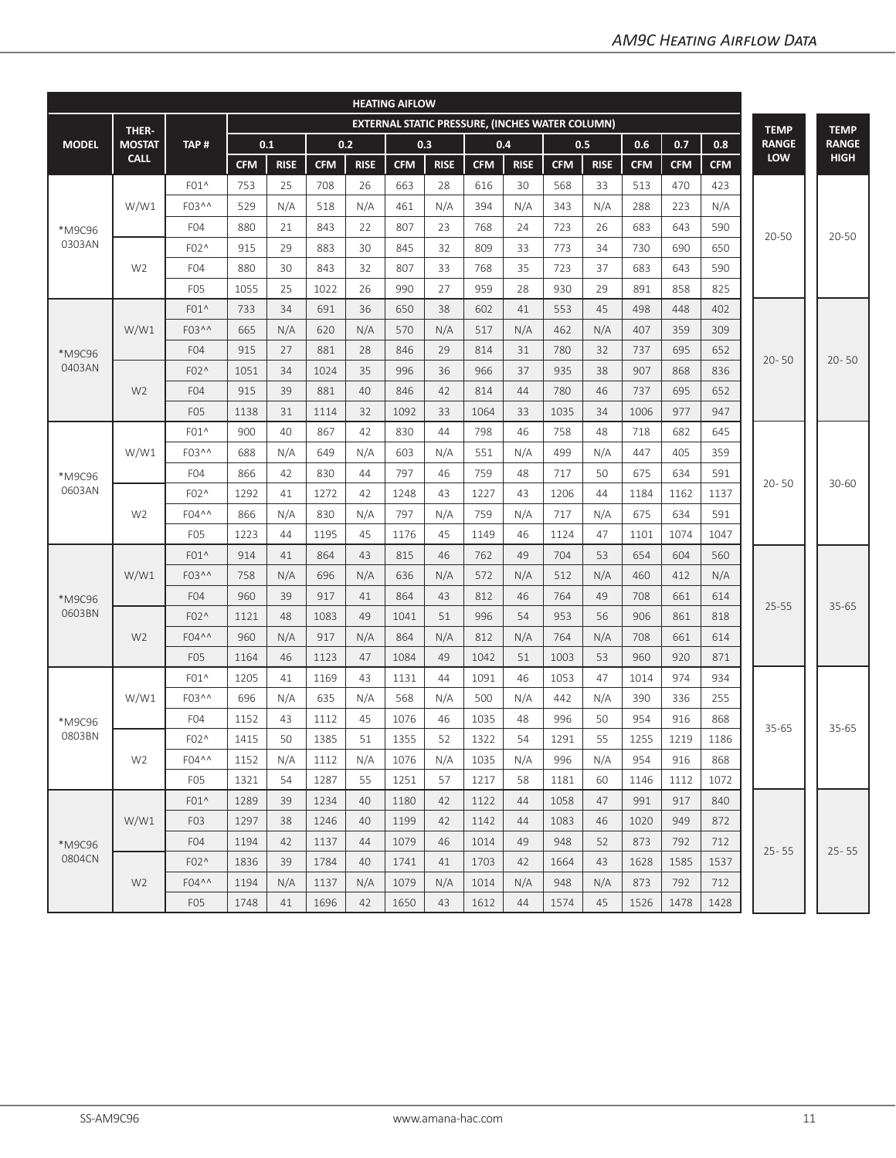|              | <b>HEATING AIFLOW</b> |                   |            |             |            |             |            |                                                        |            |             |            |             |            |            |            |              |              |
|--------------|-----------------------|-------------------|------------|-------------|------------|-------------|------------|--------------------------------------------------------|------------|-------------|------------|-------------|------------|------------|------------|--------------|--------------|
|              | THER-                 |                   |            |             |            |             |            | <b>EXTERNAL STATIC PRESSURE, (INCHES WATER COLUMN)</b> |            |             |            |             |            |            |            | <b>TEMP</b>  | <b>TEMP</b>  |
| <b>MODEL</b> | <b>MOSTAT</b>         | TAP#              |            | 0.1         |            | 0.2         |            | 0.3                                                    |            | 0.4         |            | 0.5         | 0.6        | 0.7        | 0.8        | <b>RANGE</b> | <b>RANGE</b> |
|              | <b>CALL</b>           |                   | <b>CFM</b> | <b>RISE</b> | <b>CFM</b> | <b>RISE</b> | <b>CFM</b> | <b>RISE</b>                                            | <b>CFM</b> | <b>RISE</b> | <b>CFM</b> | <b>RISE</b> | <b>CFM</b> | <b>CFM</b> | <b>CFM</b> | <b>LOW</b>   | <b>HIGH</b>  |
|              |                       | $F01^$            | 753        | 25          | 708        | 26          | 663        | 28                                                     | 616        | 30          | 568        | 33          | 513        | 470        | 423        |              |              |
|              | W/W1                  | F03^^             | 529        | N/A         | 518        | N/A         | 461        | N/A                                                    | 394        | N/A         | 343        | N/A         | 288        | 223        | N/A        |              |              |
| *M9C96       |                       | F <sub>04</sub>   | 880        | 21          | 843        | 22          | 807        | 23                                                     | 768        | 24          | 723        | 26          | 683        | 643        | 590        |              |              |
| 0303AN       |                       | F02^              | 915        | 29          | 883        | 30          | 845        | 32                                                     | 809        | 33          | 773        | 34          | 730        | 690        | 650        | 20-50        | 20-50        |
|              | W <sub>2</sub>        | F <sub>04</sub>   | 880        | 30          | 843        | 32          | 807        | 33                                                     | 768        | 35          | 723        | 37          | 683        | 643        | 590        |              |              |
|              |                       | F <sub>05</sub>   | 1055       | 25          | 1022       | 26          | 990        | 27                                                     | 959        | 28          | 930        | 29          | 891        | 858        | 825        |              |              |
|              |                       | $F01^$            | 733        | 34          | 691        | 36          | 650        | 38                                                     | 602        | 41          | 553        | 45          | 498        | 448        | 402        |              |              |
|              | W/W1                  | F03 <sup>^^</sup> | 665        | N/A         | 620        | N/A         | 570        | N/A                                                    | 517        | N/A         | 462        | N/A         | 407        | 359        | 309        |              |              |
| *M9C96       |                       | F <sub>04</sub>   | 915        | 27          | 881        | 28          | 846        | 29                                                     | 814        | 31          | 780        | 32          | 737        | 695        | 652        |              | $20 - 50$    |
| 0403AN       |                       | F02^              | 1051       | 34          | 1024       | 35          | 996        | 36                                                     | 966        | 37          | 935        | 38          | 907        | 868        | 836        | $20 - 50$    |              |
|              | W <sub>2</sub>        | F04               | 915        | 39          | 881        | 40          | 846        | 42                                                     | 814        | 44          | 780        | 46          | 737        | 695        | 652        |              |              |
|              |                       | F <sub>05</sub>   | 1138       | 31          | 1114       | 32          | 1092       | 33                                                     | 1064       | 33          | 1035       | 34          | 1006       | 977        | 947        |              |              |
|              |                       | $F01^$            | 900        | 40          | 867        | 42          | 830        | 44                                                     | 798        | 46          | 758        | 48          | 718        | 682        | 645        |              |              |
|              | W/W1                  | F03^^             | 688        | N/A         | 649        | N/A         | 603        | N/A                                                    | 551        | N/A         | 499        | N/A         | 447        | 405        | 359        |              |              |
| *M9C96       |                       | F <sub>04</sub>   | 866        | 42          | 830        | 44          | 797        | 46                                                     | 759        | 48          | 717        | 50          | 675        | 634        | 591        |              |              |
| 0603AN       |                       | F02^              | 1292       | 41          | 1272       | 42          | 1248       | 43                                                     | 1227       | 43          | 1206       | 44          | 1184       | 1162       | 1137       | $20 - 50$    | $30 - 60$    |
|              | W <sub>2</sub>        | F04^^             | 866        | N/A         | 830        | N/A         | 797        | N/A                                                    | 759        | N/A         | 717        | N/A         | 675        | 634        | 591        |              |              |
|              |                       | F <sub>05</sub>   | 1223       | 44          | 1195       | 45          | 1176       | 45                                                     | 1149       | 46          | 1124       | 47          | 1101       | 1074       | 1047       |              |              |
|              |                       | $F01^$            | 914        | 41          | 864        | 43          | 815        | 46                                                     | 762        | 49          | 704        | 53          | 654        | 604        | 560        |              |              |
|              | W/W1                  | F03^^             | 758        | N/A         | 696        | N/A         | 636        | N/A                                                    | 572        | N/A         | 512        | N/A         | 460        | 412        | N/A        |              |              |
| *M9C96       |                       | F <sub>04</sub>   | 960        | 39          | 917        | 41          | 864        | 43                                                     | 812        | 46          | 764        | 49          | 708        | 661        | 614        | $25 - 55$    | $35 - 65$    |
| 0603BN       |                       | F02^              | 1121       | 48          | 1083       | 49          | 1041       | 51                                                     | 996        | 54          | 953        | 56          | 906        | 861        | 818        |              |              |
|              | W <sub>2</sub>        | F04^^             | 960        | N/A         | 917        | N/A         | 864        | N/A                                                    | 812        | N/A         | 764        | N/A         | 708        | 661        | 614        |              |              |
|              |                       | F <sub>05</sub>   | 1164       | 46          | 1123       | 47          | 1084       | 49                                                     | 1042       | 51          | 1003       | 53          | 960        | 920        | 871        |              |              |
|              |                       | $F01^$            | 1205       | 41          | 1169       | 43          | 1131       | 44                                                     | 1091       | 46          | 1053       | 47          | 1014       | 974        | 934        |              |              |
|              | W/W1                  | F03^^             | 696        | N/A         | 635        | N/A         | 568        | N/A                                                    | 500        | N/A         | 442        | N/A         | 390        | 336        | 255        |              |              |
| *M9C96       |                       | F <sub>04</sub>   | 1152       | 43          | 1112       | 45          | 1076       | 46                                                     | 1035       | 48          | 996        | 50          | 954        | 916        | 868        | 35-65        | 35-65        |
| 0803BN       |                       | F02^              | 1415       | 50          | 1385       | 51          | 1355       | 52                                                     | 1322       | 54          | 1291       | 55          | 1255       | 1219       | 1186       |              |              |
|              | W <sub>2</sub>        | F04^^             | 1152       | N/A         | 1112       | N/A         | 1076       | N/A                                                    | 1035       | N/A         | 996        | N/A         | 954        | 916        | 868        |              |              |
|              |                       | F <sub>05</sub>   | 1321       | 54          | 1287       | 55          | 1251       | 57                                                     | 1217       | 58          | 1181       | 60          | 1146       | 1112       | 1072       |              |              |
|              |                       | $F01^{\wedge}$    | 1289       | 39          | 1234       | 40          | 1180       | 42                                                     | 1122       | 44          | 1058       | 47          | 991        | 917        | 840        |              |              |
|              | W/W1                  | F <sub>0</sub> 3  | 1297       | 38          | 1246       | 40          | 1199       | 42                                                     | 1142       | 44          | 1083       | 46          | 1020       | 949        | 872        |              |              |
| *M9C96       |                       | F <sub>04</sub>   | 1194       | 42          | 1137       | 44          | 1079       | 46                                                     | 1014       | 49          | 948        | 52          | 873        | 792        | 712        |              | $25 - 55$    |
| 0804CN       |                       | F02^              | 1836       | 39          | 1784       | 40          | 1741       | 41                                                     | 1703       | 42          | 1664       | 43          | 1628       | 1585       | 1537       | $25 - 55$    |              |
|              | W <sub>2</sub>        | F04^^             | 1194       | N/A         | 1137       | N/A         | 1079       | N/A                                                    | 1014       | N/A         | 948        | N/A         | 873        | 792        | 712        |              |              |
|              |                       | F <sub>05</sub>   | 1748       | 41          | 1696       | 42          | 1650       | 43                                                     | 1612       | 44          | 1574       | 45          | 1526       | 1478       | 1428       |              |              |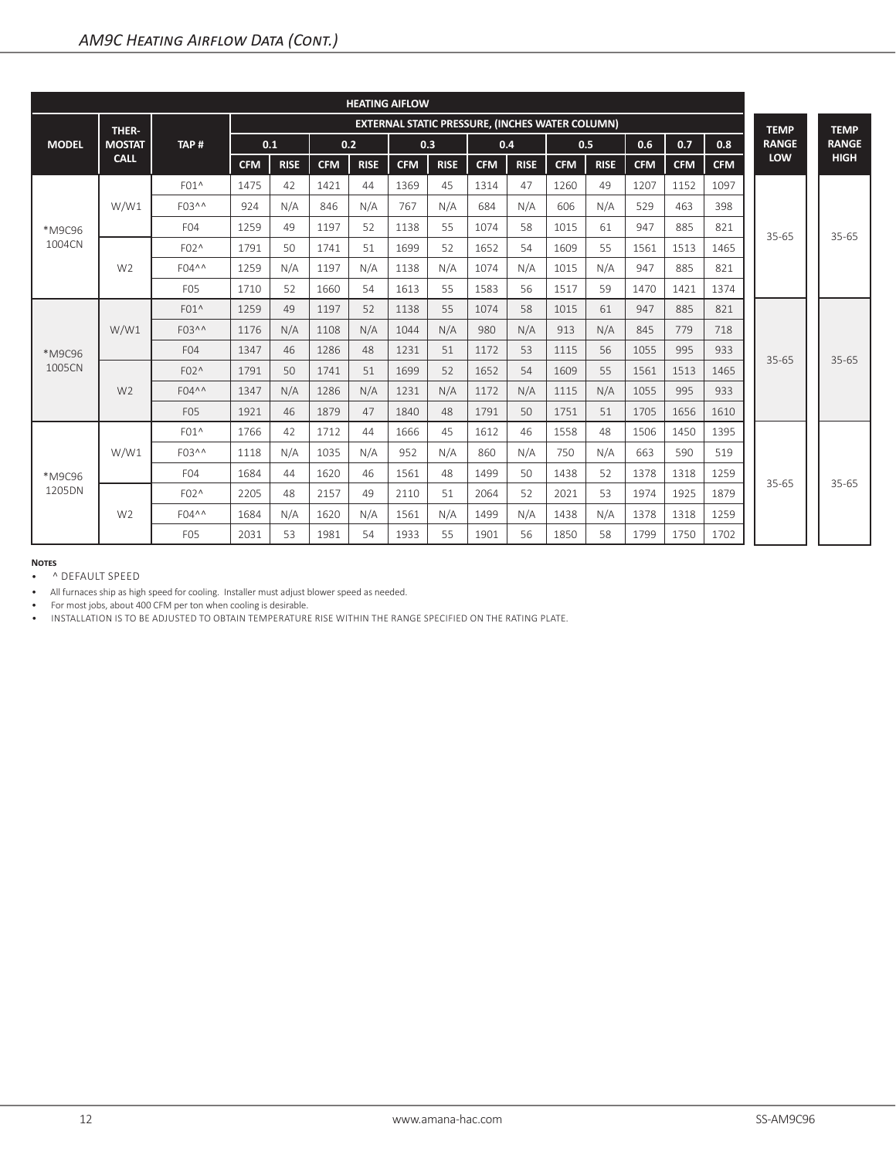| <b>HEATING AIFLOW</b> |                |                       |                                                        |             |            |             |            |             |            |             |            |             |             |            |            |              |              |
|-----------------------|----------------|-----------------------|--------------------------------------------------------|-------------|------------|-------------|------------|-------------|------------|-------------|------------|-------------|-------------|------------|------------|--------------|--------------|
|                       | THER-          |                       | <b>EXTERNAL STATIC PRESSURE, (INCHES WATER COLUMN)</b> |             |            |             |            |             |            |             |            | <b>TEMP</b> | <b>TEMP</b> |            |            |              |              |
| <b>MODEL</b>          | <b>MOSTAT</b>  | TAP#                  | 0.1                                                    |             | 0.2        |             | 0.3        |             | 0.4        |             | 0.5        |             | 0.6         | 0.7        | 0.8        | <b>RANGE</b> | <b>RANGE</b> |
|                       | <b>CALL</b>    |                       | <b>CFM</b>                                             | <b>RISE</b> | <b>CFM</b> | <b>RISE</b> | <b>CFM</b> | <b>RISE</b> | <b>CFM</b> | <b>RISE</b> | <b>CFM</b> | <b>RISE</b> | <b>CFM</b>  | <b>CFM</b> | <b>CFM</b> | <b>LOW</b>   | <b>HIGH</b>  |
| *M9C96<br>1004CN      | W/W1           | $F01^$                | 1475                                                   | 42          | 1421       | 44          | 1369       | 45          | 1314       | 47          | 1260       | 49          | 1207        | 1152       | 1097       | $35 - 65$    | $35 - 65$    |
|                       |                | F03 <sup>^^</sup>     | 924                                                    | N/A         | 846        | N/A         | 767        | N/A         | 684        | N/A         | 606        | N/A         | 529         | 463        | 398        |              |              |
|                       |                | F <sub>04</sub>       | 1259                                                   | 49          | 1197       | 52          | 1138       | 55          | 1074       | 58          | 1015       | 61          | 947         | 885        | 821        |              |              |
|                       | W <sub>2</sub> | $F02^$                | 1791                                                   | 50          | 1741       | 51          | 1699       | 52          | 1652       | 54          | 1609       | 55          | 1561        | 1513       | 1465       |              |              |
|                       |                | $F04^{\wedge \wedge}$ | 1259                                                   | N/A         | 1197       | N/A         | 1138       | N/A         | 1074       | N/A         | 1015       | N/A         | 947         | 885        | 821        |              |              |
|                       |                | F <sub>05</sub>       | 1710                                                   | 52          | 1660       | 54          | 1613       | 55          | 1583       | 56          | 1517       | 59          | 1470        | 1421       | 1374       |              |              |
|                       | W/W1           | $F01^$                | 1259                                                   | 49          | 1197       | 52          | 1138       | 55          | 1074       | 58          | 1015       | 61          | 947         | 885        | 821        | $35 - 65$    | $35 - 65$    |
|                       |                | $F03^{\wedge \wedge}$ | 1176                                                   | N/A         | 1108       | N/A         | 1044       | N/A         | 980        | N/A         | 913        | N/A         | 845         | 779        | 718        |              |              |
| *M9C96                |                | F <sub>04</sub>       | 1347                                                   | 46          | 1286       | 48          | 1231       | 51          | 1172       | 53          | 1115       | 56          | 1055        | 995        | 933        |              |              |
| 1005CN                | W <sub>2</sub> | F02^                  | 1791                                                   | 50          | 1741       | 51          | 1699       | 52          | 1652       | 54          | 1609       | 55          | 1561        | 1513       | 1465       |              |              |
|                       |                | $F04^{\wedge \wedge}$ | 1347                                                   | N/A         | 1286       | N/A         | 1231       | N/A         | 1172       | N/A         | 1115       | N/A         | 1055        | 995        | 933        |              |              |
|                       |                | F <sub>05</sub>       | 1921                                                   | 46          | 1879       | 47          | 1840       | 48          | 1791       | 50          | 1751       | 51          | 1705        | 1656       | 1610       |              |              |
| *M9C96<br>1205DN      | W/W1           | $F01^$                | 1766                                                   | 42          | 1712       | 44          | 1666       | 45          | 1612       | 46          | 1558       | 48          | 1506        | 1450       | 1395       |              | $35 - 65$    |
|                       |                | F03 <sup>^^</sup>     | 1118                                                   | N/A         | 1035       | N/A         | 952        | N/A         | 860        | N/A         | 750        | N/A         | 663         | 590        | 519        | $35 - 65$    |              |
|                       |                | F <sub>04</sub>       | 1684                                                   | 44          | 1620       | 46          | 1561       | 48          | 1499       | 50          | 1438       | 52          | 1378        | 1318       | 1259       |              |              |
|                       | W <sub>2</sub> | $F02^$                | 2205                                                   | 48          | 2157       | 49          | 2110       | 51          | 2064       | 52          | 2021       | 53          | 1974        | 1925       | 1879       |              |              |
|                       |                | $F04^{\wedge \wedge}$ | 1684                                                   | N/A         | 1620       | N/A         | 1561       | N/A         | 1499       | N/A         | 1438       | N/A         | 1378        | 1318       | 1259       |              |              |
|                       |                | F <sub>05</sub>       | 2031                                                   | 53          | 1981       | 54          | 1933       | 55          | 1901       | 56          | 1850       | 58          | 1799        | 1750       | 1702       |              |              |

• ^ DEFAULT SPEED

• All furnaces ship as high speed for cooling. Installer must adjust blower speed as needed.

• For most jobs, about 400 CFM per ton when cooling is desirable.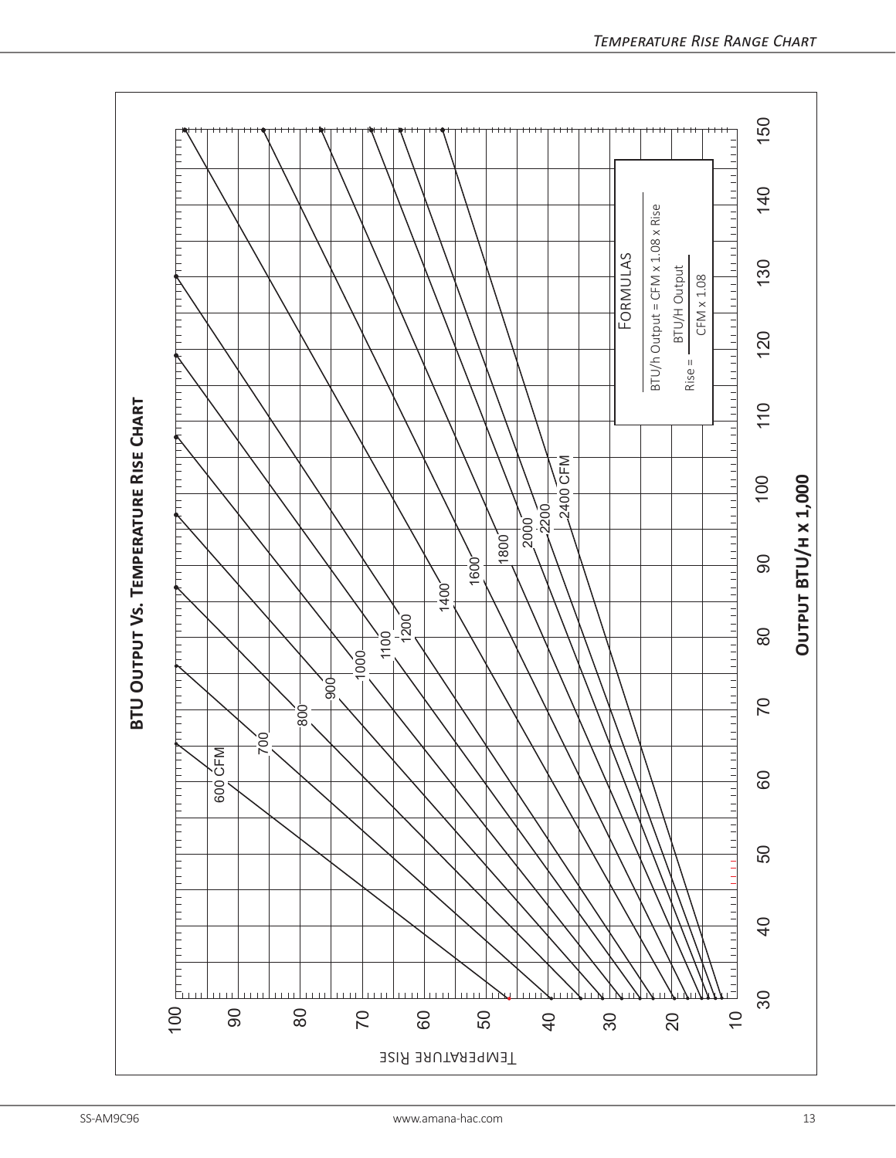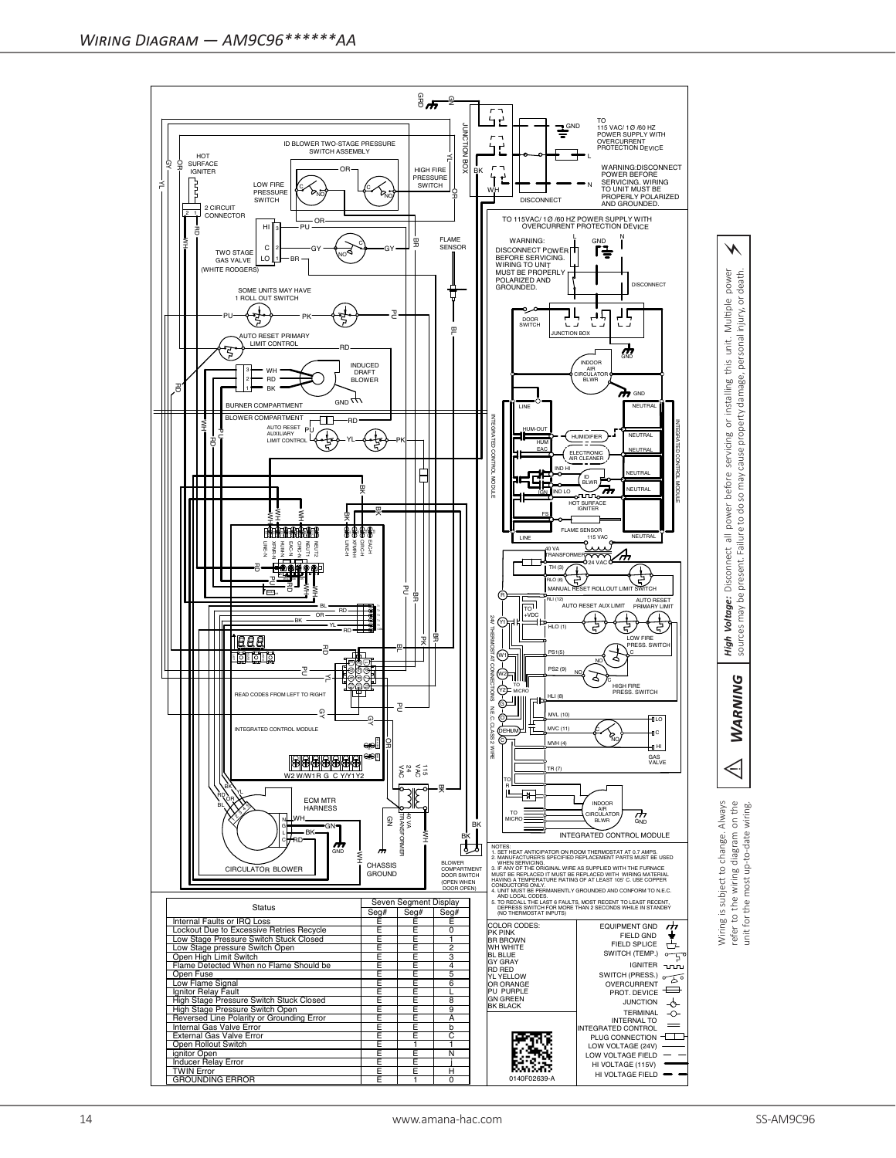



injury, or

personal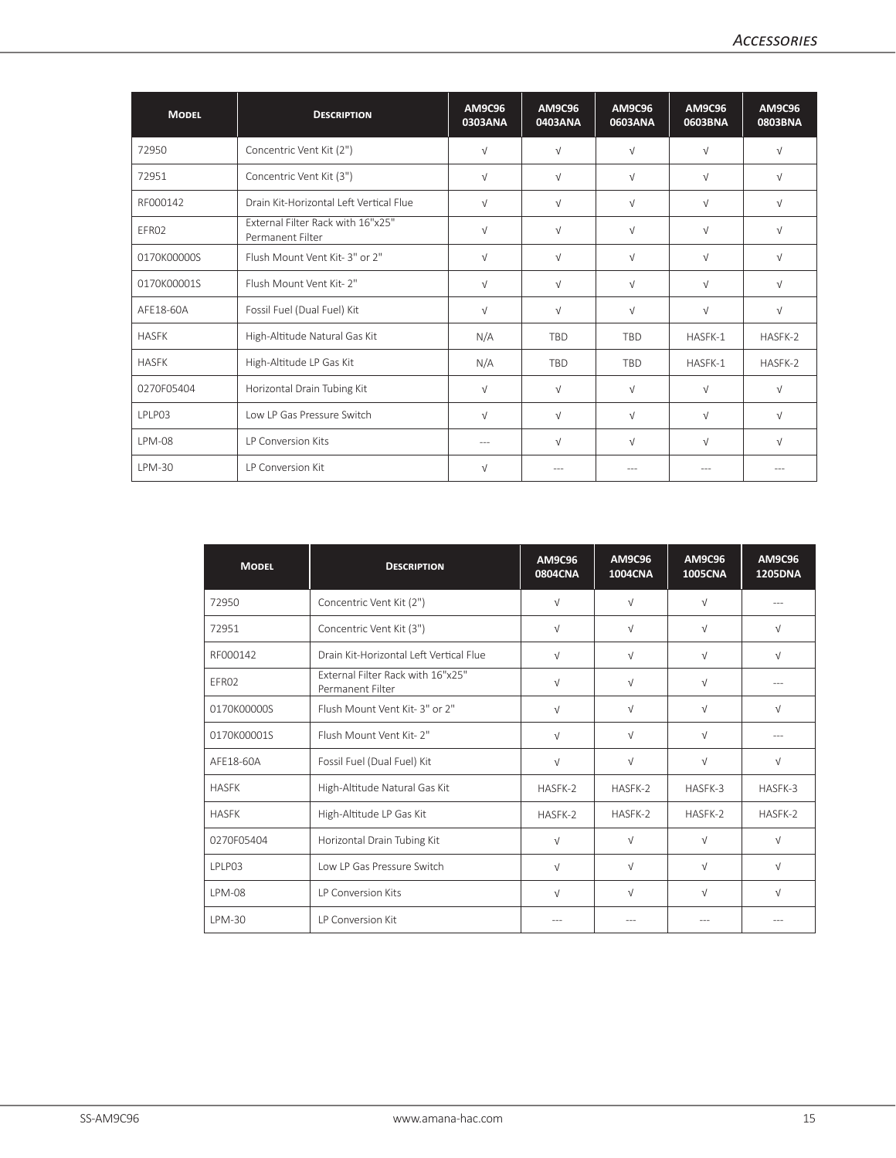| <b>MODEL</b>  | <b>DESCRIPTION</b>                                           | <b>AM9C96</b><br>0303ANA | <b>AM9C96</b><br>0403ANA | <b>AM9C96</b><br>0603ANA | <b>AM9C96</b><br>0603BNA | <b>AM9C96</b><br>0803BNA |
|---------------|--------------------------------------------------------------|--------------------------|--------------------------|--------------------------|--------------------------|--------------------------|
| 72950         | Concentric Vent Kit (2")                                     | $\sqrt{ }$               | $\sqrt{ }$               | $\sqrt{ }$               | $\sqrt{ }$               | $\sqrt{ }$               |
| 72951         | Concentric Vent Kit (3")                                     | $\sqrt{ }$               | $\sqrt{ }$               | $\sqrt{ }$               | $\sqrt{ }$               | $\sqrt{ }$               |
| RF000142      | Drain Kit-Horizontal Left Vertical Flue                      | $\sqrt{ }$               | $\sqrt{ }$               | $\sqrt{ }$               | $\sqrt{ }$               | $\sqrt{ }$               |
| EFR02         | <b>External Filter Rack with 16"x25"</b><br>Permanent Filter | $\sqrt{ }$               | $\sqrt{ }$               | $\sqrt{ }$               | $\sqrt{ }$               | $\sqrt{ }$               |
| 0170K00000S   | Flush Mount Vent Kit- 3" or 2"                               | $\sqrt{ }$               | $\sqrt{ }$               | $\sqrt{ }$               | $\sqrt{ }$               | $\sqrt{ }$               |
| 0170K00001S   | Flush Mount Vent Kit- 2"                                     | $\sqrt{ }$               | $\sqrt{ }$               | $\sqrt{ }$               | $\sqrt{ }$               | $\sqrt{ }$               |
| AFE18-60A     | Fossil Fuel (Dual Fuel) Kit                                  | $\sqrt{ }$               | $\sqrt{ }$               | $\sqrt{ }$               | $\sqrt{ }$               | $\sqrt{ }$               |
| <b>HASFK</b>  | High-Altitude Natural Gas Kit                                | N/A                      | <b>TBD</b>               | <b>TBD</b>               | HASFK-1                  | HASFK-2                  |
| <b>HASFK</b>  | High-Altitude LP Gas Kit                                     | N/A                      | <b>TBD</b>               | <b>TBD</b>               | HASFK-1                  | HASFK-2                  |
| 0270F05404    | Horizontal Drain Tubing Kit                                  | $\sqrt{ }$               | $\sqrt{ }$               | $\sqrt{ }$               | $\sqrt{ }$               | $\sqrt{ }$               |
| LPLP03        | Low LP Gas Pressure Switch                                   | $\sqrt{ }$               | $\sqrt{ }$               | $\sqrt{ }$               | $\sqrt{ }$               | $\sqrt{ }$               |
| <b>LPM-08</b> | LP Conversion Kits                                           | $---$                    | $\sqrt{ }$               | $\sqrt{ }$               | $\sqrt{ }$               | $\sqrt{ }$               |
| I PM-30       | <b>IP Conversion Kit</b>                                     | $\sqrt{ }$               |                          |                          |                          |                          |

| <b>MODEL</b>  | <b>DESCRIPTION</b>                                           | <b>AM9C96</b><br><b>0804CNA</b> | <b>AM9C96</b><br><b>1004CNA</b> | <b>AM9C96</b><br><b>1005CNA</b> | <b>AM9C96</b><br><b>1205DNA</b> |
|---------------|--------------------------------------------------------------|---------------------------------|---------------------------------|---------------------------------|---------------------------------|
| 72950         | Concentric Vent Kit (2")                                     | $\sqrt{ }$                      | $\sqrt{ }$                      | $\sqrt{}$                       |                                 |
| 72951         | Concentric Vent Kit (3")                                     | $\sqrt{ }$                      | $\sqrt{ }$                      | $\sqrt{ }$                      | $\sqrt{ }$                      |
| RF000142      | Drain Kit-Horizontal Left Vertical Flue                      | $\sqrt{ }$                      | $\sqrt{ }$                      | $\sqrt{ }$                      | $\sqrt{ }$                      |
| FFR02         | <b>External Filter Rack with 16"x25"</b><br>Permanent Filter | $\sqrt{ }$                      | $\sqrt{ }$                      | $\sqrt{ }$                      |                                 |
| 0170K00000S   | Flush Mount Vent Kit-3" or 2"                                | $\sqrt{ }$                      | $\sqrt{ }$                      | $\sqrt{ }$                      | $\sqrt{ }$                      |
| 0170K00001S   | Flush Mount Vent Kit- 2"                                     | $\sqrt{ }$                      | $\sqrt{ }$                      | $\sqrt{ }$                      |                                 |
| AFF18-60A     | Fossil Fuel (Dual Fuel) Kit                                  | $\sqrt{ }$                      | $\sqrt{ }$                      | $\sqrt{ }$                      | $\sqrt{ }$                      |
| <b>HASFK</b>  | High-Altitude Natural Gas Kit                                | HASFK-2                         | HASFK-2                         | HASFK-3                         | HASFK-3                         |
| <b>HASFK</b>  | High-Altitude LP Gas Kit                                     | HASFK-2                         | HASFK-2                         | HASFK-2                         | HASFK-2                         |
| 0270F05404    | Horizontal Drain Tubing Kit                                  | $\sqrt{ }$                      | $\sqrt{ }$                      | $\sqrt{ }$                      | $\sqrt{ }$                      |
| <b>IPIP03</b> | Low LP Gas Pressure Switch                                   | $\sqrt{ }$                      | $\sqrt{ }$                      | $\sqrt{ }$                      | $\sqrt{ }$                      |
| <b>LPM-08</b> | <b>IP Conversion Kits</b>                                    | $\sqrt{ }$                      | $\sqrt{ }$                      | $\sqrt{ }$                      | $\sqrt{ }$                      |
| IPM-30        | <b>IP Conversion Kit</b>                                     |                                 |                                 |                                 |                                 |